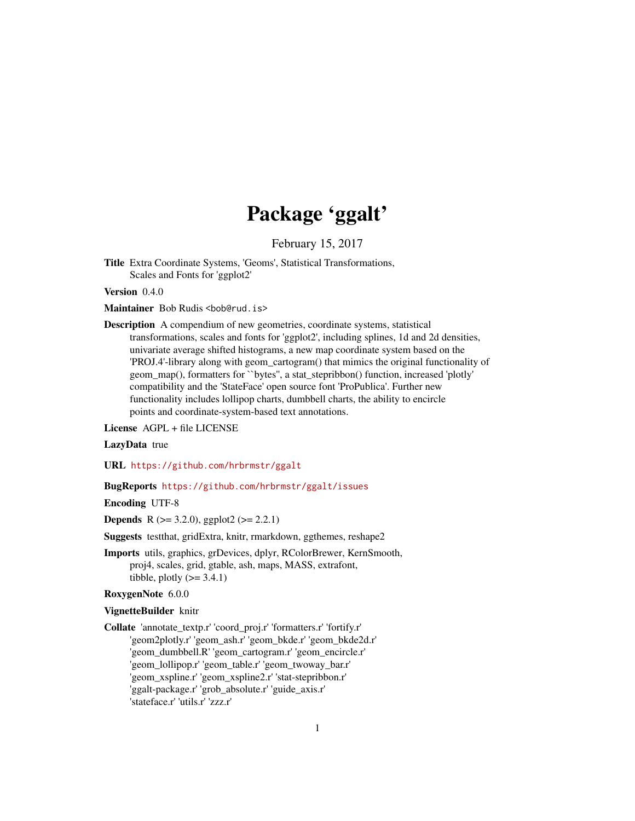# Package 'ggalt'

February 15, 2017

<span id="page-0-0"></span>Title Extra Coordinate Systems, 'Geoms', Statistical Transformations, Scales and Fonts for 'ggplot2'

Version 0.4.0

Maintainer Bob Rudis <bob@rud.is>

Description A compendium of new geometries, coordinate systems, statistical transformations, scales and fonts for 'ggplot2', including splines, 1d and 2d densities, univariate average shifted histograms, a new map coordinate system based on the 'PROJ.4'-library along with geom\_cartogram() that mimics the original functionality of geom\_map(), formatters for ``bytes'', a stat\_stepribbon() function, increased 'plotly' compatibility and the 'StateFace' open source font 'ProPublica'. Further new functionality includes lollipop charts, dumbbell charts, the ability to encircle points and coordinate-system-based text annotations.

License AGPL + file LICENSE

LazyData true

URL <https://github.com/hrbrmstr/ggalt>

#### BugReports <https://github.com/hrbrmstr/ggalt/issues>

Encoding UTF-8

**Depends** R ( $>= 3.2.0$ ), ggplot2 ( $>= 2.2.1$ )

Suggests testthat, gridExtra, knitr, rmarkdown, ggthemes, reshape2

Imports utils, graphics, grDevices, dplyr, RColorBrewer, KernSmooth, proj4, scales, grid, gtable, ash, maps, MASS, extrafont, tibble, plotly  $(>= 3.4.1)$ 

#### RoxygenNote 6.0.0

#### VignetteBuilder knitr

Collate 'annotate\_textp.r' 'coord\_proj.r' 'formatters.r' 'fortify.r' 'geom2plotly.r' 'geom\_ash.r' 'geom\_bkde.r' 'geom\_bkde2d.r' 'geom\_dumbbell.R' 'geom\_cartogram.r' 'geom\_encircle.r' 'geom\_lollipop.r' 'geom\_table.r' 'geom\_twoway\_bar.r' 'geom\_xspline.r' 'geom\_xspline2.r' 'stat-stepribbon.r' 'ggalt-package.r' 'grob\_absolute.r' 'guide\_axis.r' 'stateface.r' 'utils.r' 'zzz.r'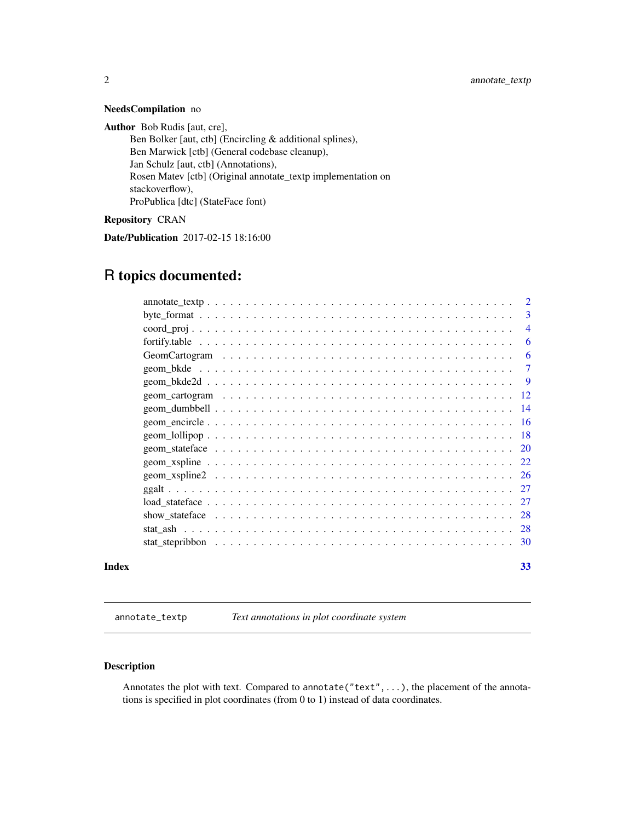# NeedsCompilation no

Author Bob Rudis [aut, cre],

Ben Bolker [aut, ctb] (Encircling & additional splines), Ben Marwick [ctb] (General codebase cleanup), Jan Schulz [aut, ctb] (Annotations), Rosen Matev [ctb] (Original annotate\_textp implementation on stackoverflow), ProPublica [dtc] (StateFace font)

Repository CRAN

Date/Publication 2017-02-15 18:16:00

# R topics documented:

|       | 3                       |
|-------|-------------------------|
|       | $\overline{4}$          |
|       | 6                       |
|       | 6                       |
|       | $\overline{7}$          |
|       | $\overline{\mathbf{Q}}$ |
|       |                         |
|       |                         |
|       |                         |
|       |                         |
|       |                         |
|       |                         |
|       |                         |
|       |                         |
|       |                         |
|       |                         |
|       |                         |
|       |                         |
| Index | 33                      |

annotate\_textp *Text annotations in plot coordinate system*

# Description

Annotates the plot with text. Compared to annotate("text",...), the placement of the annotations is specified in plot coordinates (from 0 to 1) instead of data coordinates.

<span id="page-1-0"></span>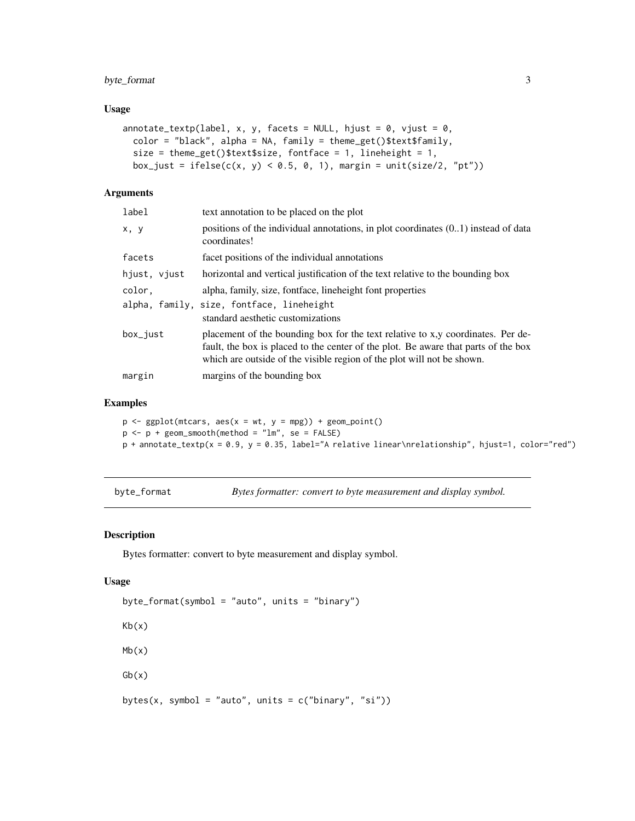# <span id="page-2-0"></span>byte\_format 3

# Usage

```
annotate_textp(label, x, y, facets = NULL, hjust = 0, vjust = 0,
 color = "black", alpha = NA, family = theme_get()$text$family,
  size = theme_get()$text$size, fontface = 1, lineheight = 1,
 box_just = ifelse(c(x, y) < 0.5, 0, 1), margin = unit(size/2, "pt"))
```
# Arguments

| label        | text annotation to be placed on the plot                                                                                                                                                                                                        |
|--------------|-------------------------------------------------------------------------------------------------------------------------------------------------------------------------------------------------------------------------------------------------|
| x, y         | positions of the individual annotations, in plot coordinates $(0.1)$ instead of data<br>coordinates!                                                                                                                                            |
| facets       | facet positions of the individual annotations                                                                                                                                                                                                   |
| hjust, vjust | horizontal and vertical justification of the text relative to the bounding box                                                                                                                                                                  |
| color.       | alpha, family, size, fontface, lineheight font properties                                                                                                                                                                                       |
|              | alpha, family, size, fontface, lineheight<br>standard aesthetic customizations                                                                                                                                                                  |
| box_just     | placement of the bounding box for the text relative to x,y coordinates. Per de-<br>fault, the box is placed to the center of the plot. Be aware that parts of the box<br>which are outside of the visible region of the plot will not be shown. |
| margin       | margins of the bounding box                                                                                                                                                                                                                     |
|              |                                                                                                                                                                                                                                                 |

# Examples

 $p \leftarrow \text{ggplot}(\text{mtcars}, \text{aes}(x = wt, y = mpg)) + \text{geom\_point}()$  $p \leq -p + \text{geom\_smooth}(\text{method} = "lm", \text{se} = \text{FALSE})$ p + annotate\_textp(x = 0.9, y = 0.35, label="A relative linear\nrelationship", hjust=1, color="red")

byte\_format *Bytes formatter: convert to byte measurement and display symbol.*

#### Description

Bytes formatter: convert to byte measurement and display symbol.

#### Usage

```
byte_format(symbol = "auto", units = "binary")
Kb(x)
Mb(x)
Gb(x)bytes(x, symbol = "auto", units = c("binary", "si"))
```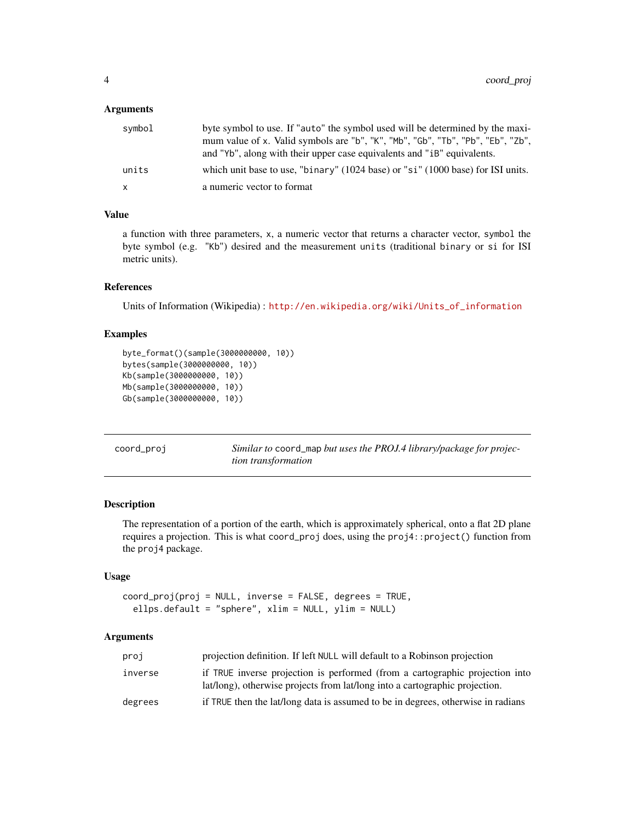#### <span id="page-3-0"></span>Arguments

| symbol | byte symbol to use. If "auto" the symbol used will be determined by the maxi-<br>mum value of x. Valid symbols are "b", "K", "Mb", "Gb", "Tb", "Pb", "Eb", "Zb",<br>and "Yb", along with their upper case equivalents and "iB" equivalents. |
|--------|---------------------------------------------------------------------------------------------------------------------------------------------------------------------------------------------------------------------------------------------|
| units  | which unit base to use, "binary" (1024 base) or "si" (1000 base) for ISI units.                                                                                                                                                             |
| X      | a numeric vector to format                                                                                                                                                                                                                  |

# Value

a function with three parameters, x, a numeric vector that returns a character vector, symbol the byte symbol (e.g. "Kb") desired and the measurement units (traditional binary or si for ISI metric units).

#### References

Units of Information (Wikipedia) : [http://en.wikipedia.org/wiki/Units\\_of\\_information](http://en.wikipedia.org/wiki/Units_of_information)

#### Examples

```
byte_format()(sample(3000000000, 10))
bytes(sample(3000000000, 10))
Kb(sample(3000000000, 10))
Mb(sample(3000000000, 10))
Gb(sample(3000000000, 10))
```

| coord_proj | Similar to coord_map but uses the PROJ.4 library/package for projec- |
|------------|----------------------------------------------------------------------|
|            | tion transformation                                                  |

# Description

The representation of a portion of the earth, which is approximately spherical, onto a flat 2D plane requires a projection. This is what coord\_proj does, using the proj4::project() function from the proj4 package.

#### Usage

```
coord_proj(proj = NULL, inverse = FALSE, degrees = TRUE,
  ellps.default = "sphere", xlim = NULL, ylim = NULL)
```

| proj    | projection definition. If left NULL will default to a Robinson projection                                                                                   |
|---------|-------------------------------------------------------------------------------------------------------------------------------------------------------------|
| inverse | if TRUE inverse projection is performed (from a cartographic projection into<br>lat/long), otherwise projects from lat/long into a cartographic projection. |
| degrees | if TRUE then the lat/long data is assumed to be in degrees, otherwise in radians                                                                            |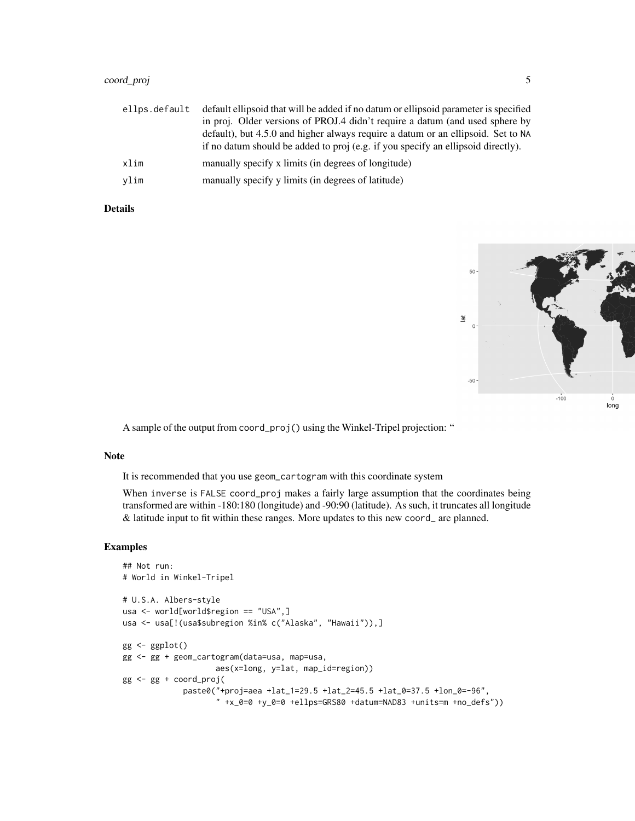# coord\_proj 5

| ellps.default | default ellipsoid that will be added if no datum or ellipsoid parameter is specified |
|---------------|--------------------------------------------------------------------------------------|
|               | in proj. Older versions of PROJ.4 didn't require a datum (and used sphere by         |
|               | default), but 4.5.0 and higher always require a datum or an ellipsoid. Set to NA     |
|               | if no datum should be added to proj (e.g. if you specify an ellipsoid directly).     |
| xlim          | manually specify x limits (in degrees of longitude)                                  |
| vlim          | manually specify y limits (in degrees of latitude)                                   |

# Details



A sample of the output from coord\_proj() using the Winkel-Tripel projection: "

#### Note

It is recommended that you use geom\_cartogram with this coordinate system

When inverse is FALSE coord\_proj makes a fairly large assumption that the coordinates being transformed are within -180:180 (longitude) and -90:90 (latitude). As such, it truncates all longitude & latitude input to fit within these ranges. More updates to this new coord\_ are planned.

# Examples

```
## Not run:
# World in Winkel-Tripel
# U.S.A. Albers-style
usa <- world[world$region == "USA",]
usa <- usa[!(usa$subregion %in% c("Alaska", "Hawaii")),]
gg < - ggplot()
gg <- gg + geom_cartogram(data=usa, map=usa,
                    aes(x=long, y=lat, map_id=region))
gg <- gg + coord_proj(
             paste0("+proj=aea +lat_1=29.5 +lat_2=45.5 +lat_0=37.5 +lon_0=-96",
                    " +x_0=0 +y_0=0 +ellps=GRS80 +datum=NAD83 +units=m +no_defs"))
```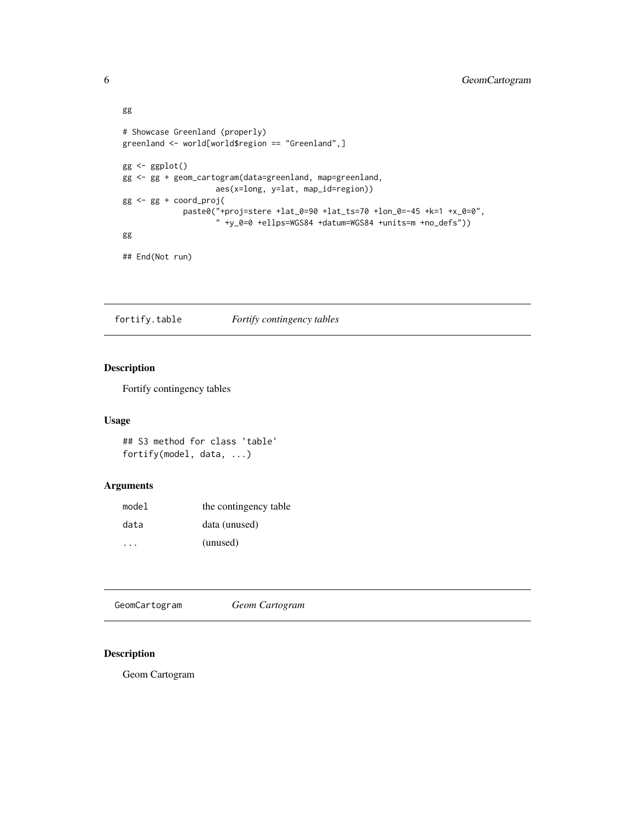```
gg
# Showcase Greenland (properly)
greenland <- world[world$region == "Greenland",]
gg <- ggplot()
gg <- gg + geom_cartogram(data=greenland, map=greenland,
                   aes(x=long, y=lat, map_id=region))
gg <- gg + coord_proj(
             paste0("+proj=stere +lat_0=90 +lat_ts=70 +lon_0=-45 +k=1 +x_0=0",
                    " +y_0=0 +ellps=WGS84 +datum=WGS84 +units=m +no_defs"))
gg
```

```
## End(Not run)
```
fortify.table *Fortify contingency tables*

# Description

Fortify contingency tables

# Usage

## S3 method for class 'table' fortify(model, data, ...)

# Arguments

| model | the contingency table |
|-------|-----------------------|
| data  | data (unused)         |
|       | (unused)              |

GeomCartogram *Geom Cartogram*

# Description

Geom Cartogram

<span id="page-5-0"></span>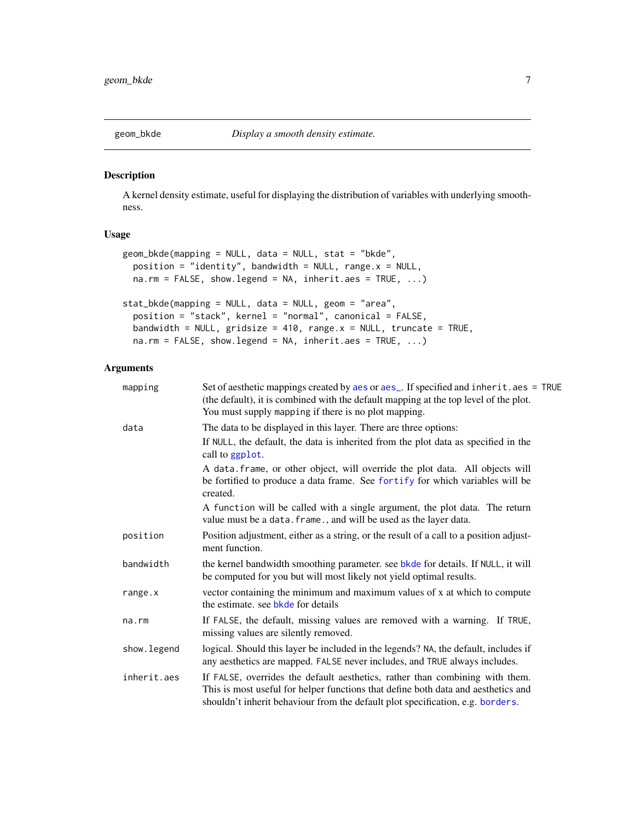<span id="page-6-0"></span>

#### Description

A kernel density estimate, useful for displaying the distribution of variables with underlying smoothness.

#### Usage

```
geom_bkde(mapping = NULL, data = NULL, stat = "bkde",
 position = "identity", bandwidth = NULL, range.x = NULL,
 na.rm = FALSE, show.legend = NA, inherit.aes = TRUE, ...)
stat_bkde(mapping = NULL, data = NULL, geom = "area",
  position = "stack", kernel = "normal", canonical = FALSE,
 bandwidth = NULL, gridsize = 410, range.x = NULL, truncate = TRUE,
 na.rm = FALSE, show. legend = NA, inheritance = TRUE, ...)
```

| mapping     | Set of aesthetic mappings created by aes or aes_. If specified and inherit.aes = TRUE<br>(the default), it is combined with the default mapping at the top level of the plot.<br>You must supply mapping if there is no plot mapping.               |
|-------------|-----------------------------------------------------------------------------------------------------------------------------------------------------------------------------------------------------------------------------------------------------|
| data        | The data to be displayed in this layer. There are three options:                                                                                                                                                                                    |
|             | If NULL, the default, the data is inherited from the plot data as specified in the<br>call to ggplot.                                                                                                                                               |
|             | A data. frame, or other object, will override the plot data. All objects will<br>be fortified to produce a data frame. See fortify for which variables will be<br>created.                                                                          |
|             | A function will be called with a single argument, the plot data. The return<br>value must be a data. frame., and will be used as the layer data.                                                                                                    |
| position    | Position adjustment, either as a string, or the result of a call to a position adjust-<br>ment function.                                                                                                                                            |
| bandwidth   | the kernel bandwidth smoothing parameter. see bkde for details. If NULL, it will<br>be computed for you but will most likely not yield optimal results.                                                                                             |
| range.x     | vector containing the minimum and maximum values of x at which to compute<br>the estimate, see bkde for details                                                                                                                                     |
| na.rm       | If FALSE, the default, missing values are removed with a warning. If TRUE,<br>missing values are silently removed.                                                                                                                                  |
| show.legend | logical. Should this layer be included in the legends? NA, the default, includes if<br>any aesthetics are mapped. FALSE never includes, and TRUE always includes.                                                                                   |
| inherit.aes | If FALSE, overrides the default aesthetics, rather than combining with them.<br>This is most useful for helper functions that define both data and aesthetics and<br>shouldn't inherit behaviour from the default plot specification, e.g. borders. |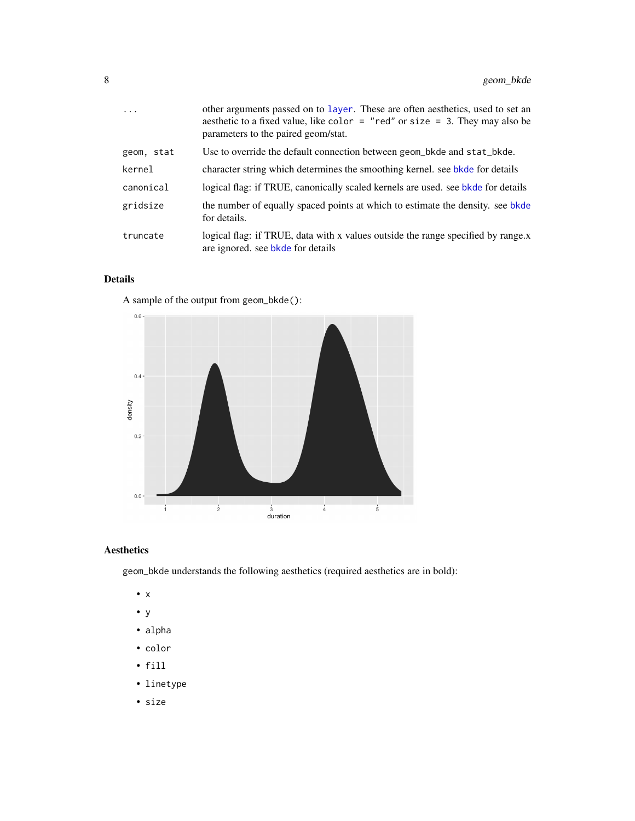<span id="page-7-0"></span>

| $\ddots$ . | other arguments passed on to layer. These are often aesthetics, used to set an<br>aesthetic to a fixed value, like color $=$ "red" or size $=$ 3. They may also be<br>parameters to the paired geom/stat. |
|------------|-----------------------------------------------------------------------------------------------------------------------------------------------------------------------------------------------------------|
| geom, stat | Use to override the default connection between geom_bkde and stat_bkde.                                                                                                                                   |
| kernel     | character string which determines the smoothing kernel. see bkde for details                                                                                                                              |
| canonical  | logical flag: if TRUE, canonically scaled kernels are used, see bkde for details                                                                                                                          |
| gridsize   | the number of equally spaced points at which to estimate the density, see bkde<br>for details.                                                                                                            |
| truncate   | logical flag: if TRUE, data with x values outside the range specified by range.x<br>are ignored, see bkde for details                                                                                     |

# Details

A sample of the output from geom\_bkde():



# Aesthetics

geom\_bkde understands the following aesthetics (required aesthetics are in bold):

- x
- y
- alpha
- color
- fill
- linetype
- size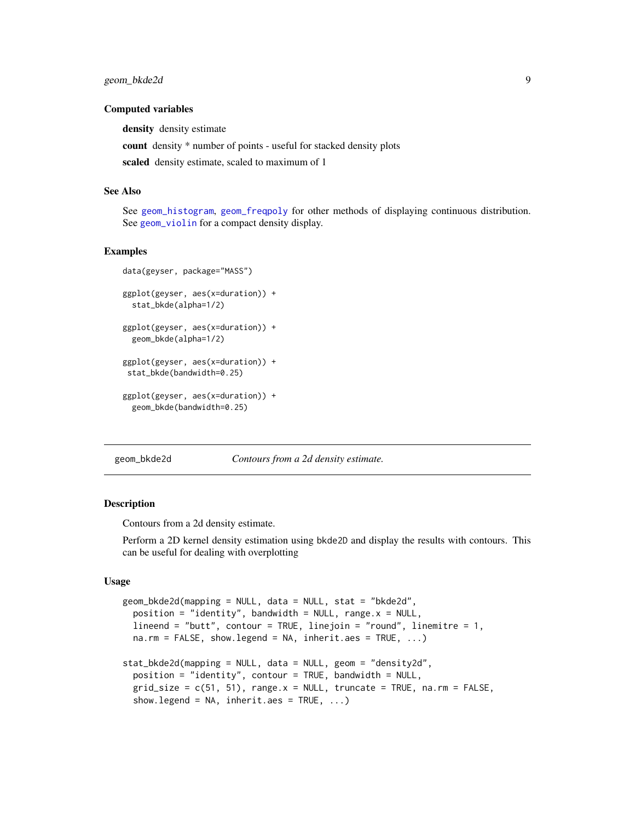#### <span id="page-8-0"></span>Computed variables

density density estimate

count density \* number of points - useful for stacked density plots

scaled density estimate, scaled to maximum of 1

#### See Also

See [geom\\_histogram](#page-0-0), [geom\\_freqpoly](#page-0-0) for other methods of displaying continuous distribution. See [geom\\_violin](#page-0-0) for a compact density display.

#### Examples

```
data(geyser, package="MASS")
ggplot(geyser, aes(x=duration)) +
 stat_bkde(alpha=1/2)
ggplot(geyser, aes(x=duration)) +
 geom_bkde(alpha=1/2)
ggplot(geyser, aes(x=duration)) +
stat_bkde(bandwidth=0.25)
ggplot(geyser, aes(x=duration)) +
 geom_bkde(bandwidth=0.25)
```
geom\_bkde2d *Contours from a 2d density estimate.*

#### **Description**

Contours from a 2d density estimate.

Perform a 2D kernel density estimation using bkde2D and display the results with contours. This can be useful for dealing with overplotting

#### Usage

```
geom_bkde2d(mapping = NULL, data = NULL, stat = "bkde2d",
 position = "identity", bandwidth = NULL, range.x = NULL,
  lineend = "butt", contour = TRUE, linejoin = "round", linemitre = 1,
 na.rm = FALSE, show.legend = NA, inherit.aes = TRUE, ...)
stat_bkde2d(mapping = NULL, data = NULL, geom = "density2d",
 position = "identity", contour = TRUE, bandwidth = NULL,
 grid\_size = c(51, 51), range.x = NULL, truncate = TRUE, na.rm = FALSE,
  show.legend = NA, inherit.aes = TRUE, ...)
```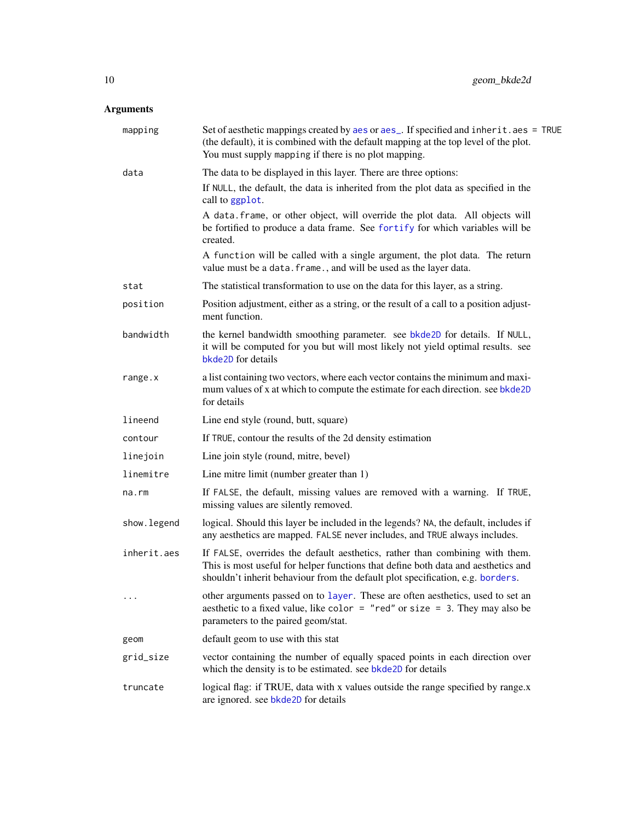<span id="page-9-0"></span>

| mapping     | Set of aesthetic mappings created by aes or aes_. If specified and inherit.aes = TRUE<br>(the default), it is combined with the default mapping at the top level of the plot.<br>You must supply mapping if there is no plot mapping.               |
|-------------|-----------------------------------------------------------------------------------------------------------------------------------------------------------------------------------------------------------------------------------------------------|
| data        | The data to be displayed in this layer. There are three options:                                                                                                                                                                                    |
|             | If NULL, the default, the data is inherited from the plot data as specified in the<br>call to ggplot.                                                                                                                                               |
|             | A data. frame, or other object, will override the plot data. All objects will<br>be fortified to produce a data frame. See fortify for which variables will be<br>created.                                                                          |
|             | A function will be called with a single argument, the plot data. The return<br>value must be a data. frame., and will be used as the layer data.                                                                                                    |
| stat        | The statistical transformation to use on the data for this layer, as a string.                                                                                                                                                                      |
| position    | Position adjustment, either as a string, or the result of a call to a position adjust-<br>ment function.                                                                                                                                            |
| bandwidth   | the kernel bandwidth smoothing parameter. see bkde2D for details. If NULL,<br>it will be computed for you but will most likely not yield optimal results. see<br>bkde2D for details                                                                 |
| range.x     | a list containing two vectors, where each vector contains the minimum and maxi-<br>mum values of x at which to compute the estimate for each direction. see bkde2D<br>for details                                                                   |
| lineend     | Line end style (round, butt, square)                                                                                                                                                                                                                |
| contour     | If TRUE, contour the results of the 2d density estimation                                                                                                                                                                                           |
| linejoin    | Line join style (round, mitre, bevel)                                                                                                                                                                                                               |
| linemitre   | Line mitre limit (number greater than 1)                                                                                                                                                                                                            |
| na.rm       | If FALSE, the default, missing values are removed with a warning. If TRUE,<br>missing values are silently removed.                                                                                                                                  |
| show.legend | logical. Should this layer be included in the legends? NA, the default, includes if<br>any aesthetics are mapped. FALSE never includes, and TRUE always includes.                                                                                   |
| inherit.aes | If FALSE, overrides the default aesthetics, rather than combining with them.<br>This is most useful for helper functions that define both data and aesthetics and<br>shouldn't inherit behaviour from the default plot specification, e.g. borders. |
| $\cdots$    | other arguments passed on to layer. These are often aesthetics, used to set an<br>aesthetic to a fixed value, like color = "red" or size = 3. They may also be<br>parameters to the paired geom/stat.                                               |
| geom        | default geom to use with this stat                                                                                                                                                                                                                  |
| grid_size   | vector containing the number of equally spaced points in each direction over<br>which the density is to be estimated. see bkde2D for details                                                                                                        |
| truncate    | logical flag: if TRUE, data with x values outside the range specified by range.x<br>are ignored. see bkde2D for details                                                                                                                             |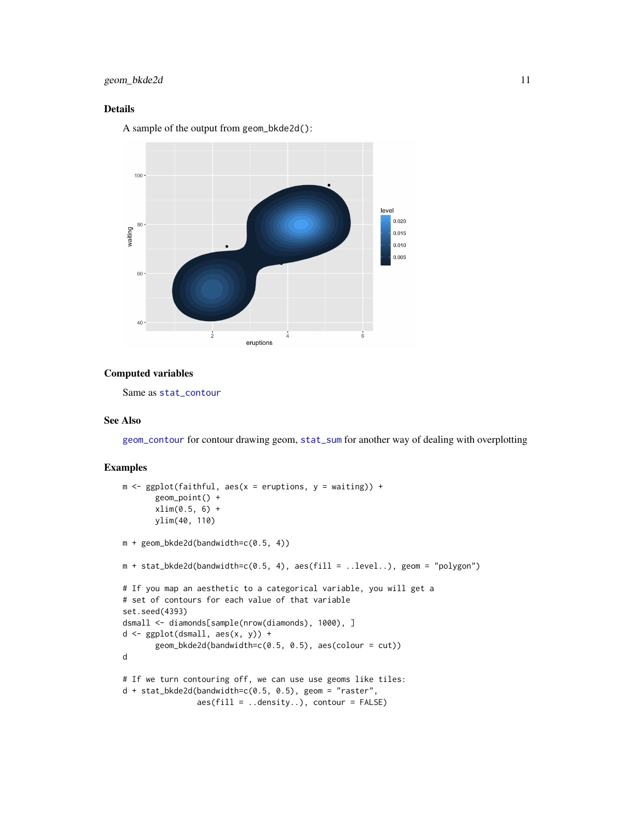# <span id="page-10-0"></span>geom\_bkde2d 11

# Details

A sample of the output from geom\_bkde2d():



#### Computed variables

Same as [stat\\_contour](#page-0-0)

#### See Also

[geom\\_contour](#page-0-0) for contour drawing geom, [stat\\_sum](#page-0-0) for another way of dealing with overplotting

# Examples

```
m \leq - ggplot(faithful, aes(x = eruptions, y = waiting)) +
       geom_point() +
       xlim(0.5, 6) +
       ylim(40, 110)
m + geom_bkde2d(bandwidth=c(0.5, 4))
m + stat_bkde2d(bandwidth=c(0.5, 4), aes(fill = ..level..), geom = "polygon")# If you map an aesthetic to a categorical variable, you will get a
# set of contours for each value of that variable
set.seed(4393)
dsmall <- diamonds[sample(nrow(diamonds), 1000), ]
d \leftarrow \text{ggplot}(dsmall, \text{aes}(x, y)) +geom_bkde2d(bandwidth=c(0.5, 0.5), aes(colour = cut))
d
# If we turn contouring off, we can use use geoms like tiles:
d + stat_bkde2d(bandwidth=c(0.5, 0.5), geom = "raster",aes(fill = ..density..), contour = FALSE)
```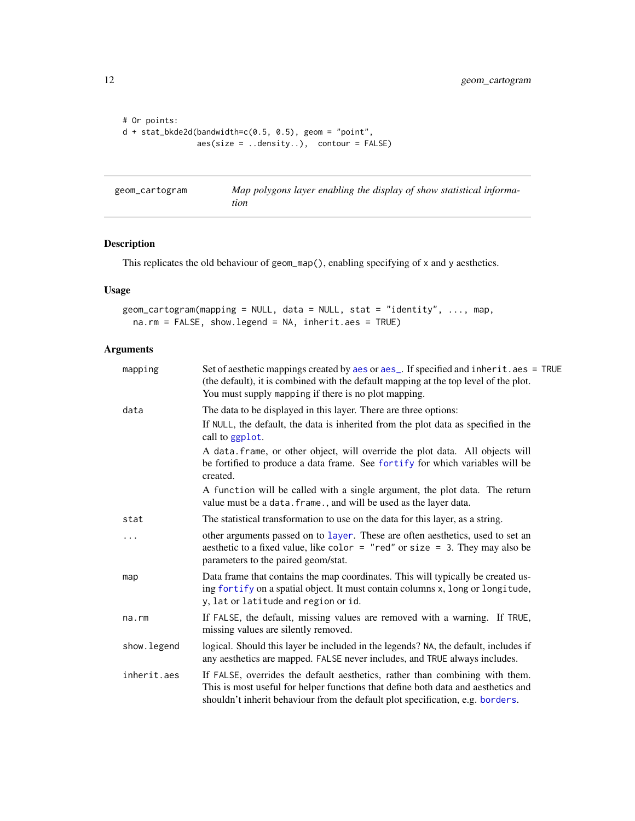```
# Or points:
d + stat_bkde2d(bandwidth=c(0.5, 0.5), geom = "point",
               aes(size = ..density..), contour = FALSE)
```

| geom_cartogram | Map polygons layer enabling the display of show statistical informa- |
|----------------|----------------------------------------------------------------------|
|                | tion                                                                 |

# Description

This replicates the old behaviour of geom\_map(), enabling specifying of x and y aesthetics.

# Usage

```
geom_cartogram(mapping = NULL, data = NULL, stat = "identity", ..., map,
 na.rm = FALSE, show.legend = NA, inherit.aes = TRUE)
```

| mapping     | Set of aesthetic mappings created by aes or aes_. If specified and inherit.aes = TRUE<br>(the default), it is combined with the default mapping at the top level of the plot.<br>You must supply mapping if there is no plot mapping.               |
|-------------|-----------------------------------------------------------------------------------------------------------------------------------------------------------------------------------------------------------------------------------------------------|
| data        | The data to be displayed in this layer. There are three options:                                                                                                                                                                                    |
|             | If NULL, the default, the data is inherited from the plot data as specified in the<br>call to ggplot.                                                                                                                                               |
|             | A data. frame, or other object, will override the plot data. All objects will<br>be fortified to produce a data frame. See fortify for which variables will be<br>created.                                                                          |
|             | A function will be called with a single argument, the plot data. The return<br>value must be a data. frame., and will be used as the layer data.                                                                                                    |
| stat        | The statistical transformation to use on the data for this layer, as a string.                                                                                                                                                                      |
| .           | other arguments passed on to layer. These are often aesthetics, used to set an<br>aesthetic to a fixed value, like color = "red" or size = 3. They may also be<br>parameters to the paired geom/stat.                                               |
| map         | Data frame that contains the map coordinates. This will typically be created us-<br>ing fortify on a spatial object. It must contain columns x, long or longitude,<br>y, lat or latitude and region or id.                                          |
| na.rm       | If FALSE, the default, missing values are removed with a warning. If TRUE,<br>missing values are silently removed.                                                                                                                                  |
| show.legend | logical. Should this layer be included in the legends? NA, the default, includes if<br>any aesthetics are mapped. FALSE never includes, and TRUE always includes.                                                                                   |
| inherit.aes | If FALSE, overrides the default aesthetics, rather than combining with them.<br>This is most useful for helper functions that define both data and aesthetics and<br>shouldn't inherit behaviour from the default plot specification, e.g. borders. |

<span id="page-11-0"></span>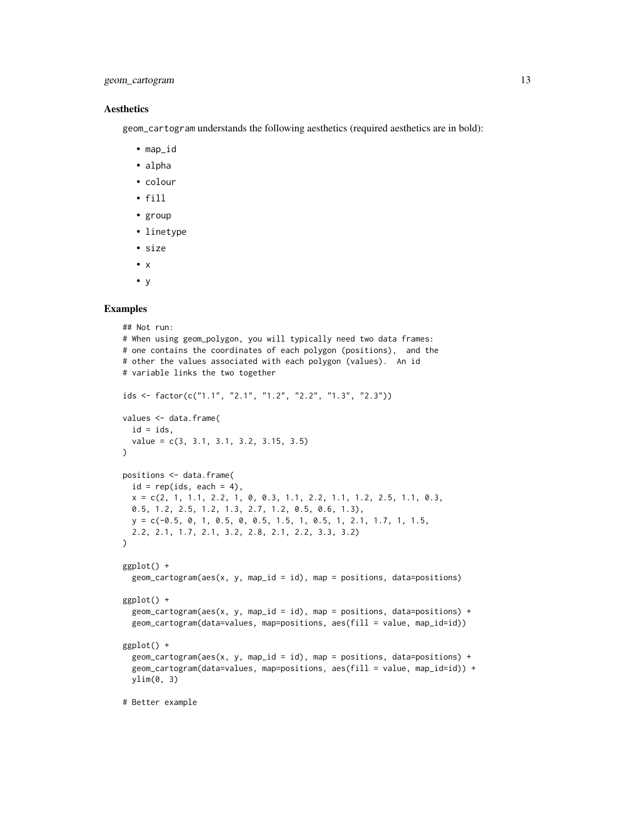# geom\_cartogram 13

#### Aesthetics

geom\_cartogram understands the following aesthetics (required aesthetics are in bold):

- map\_id
- alpha
- colour
- fill
- group
- linetype
- size
- $\bullet$   $\times$
- y

#### Examples

```
## Not run:
# When using geom_polygon, you will typically need two data frames:
# one contains the coordinates of each polygon (positions), and the
# other the values associated with each polygon (values). An id
# variable links the two together
ids <- factor(c("1.1", "2.1", "1.2", "2.2", "1.3", "2.3"))
values <- data.frame(
 id = ids,
  value = c(3, 3.1, 3.1, 3.2, 3.15, 3.5)
\lambdapositions <- data.frame(
  id = rep(ids, each = 4),x = c(2, 1, 1.1, 2.2, 1, 0, 0.3, 1.1, 2.2, 1.1, 1.2, 2.5, 1.1, 0.3,0.5, 1.2, 2.5, 1.2, 1.3, 2.7, 1.2, 0.5, 0.6, 1.3),
  y = c(-0.5, 0, 1, 0.5, 0, 0.5, 1.5, 1, 0.5, 1, 2.1, 1.7, 1, 1.5,
  2.2, 2.1, 1.7, 2.1, 3.2, 2.8, 2.1, 2.2, 3.3, 3.2)
)
ggplot() +
  geom\_cartogram(aes(x, y, map_id = id), map = positions, data=positions)ggplot() +
  geom_cartogram(aes(x, y, map_id = id), map = positions, data=positions) +
  geom_cartogram(data=values, map=positions, aes(fill = value, map_id=id))
ggplot() +
  geom_cartogram(aes(x, y, map_id = id), map = positions, data=positions) +
  geom_cartogram(data=values, map=positions, aes(fill = value, map_id=id)) +
  ylim(0, 3)
```
# Better example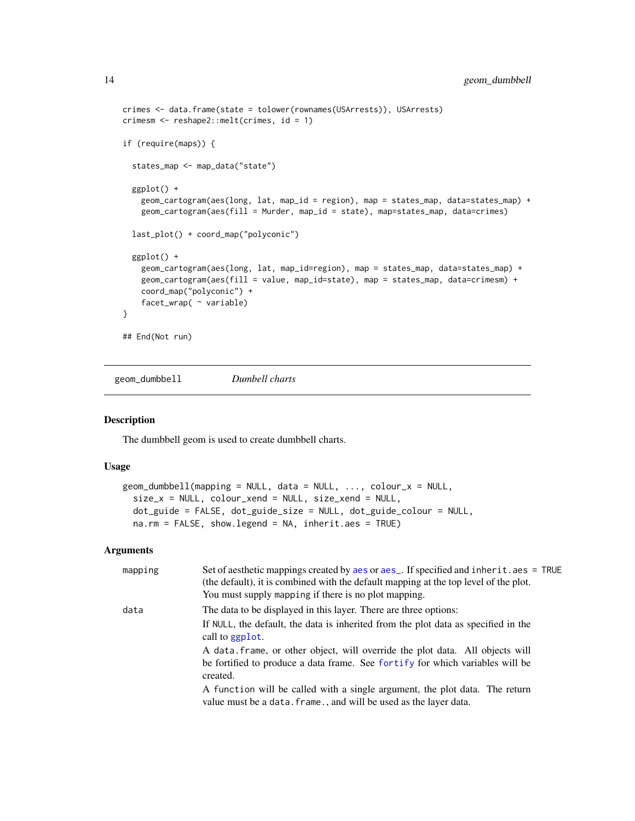```
crimes <- data.frame(state = tolower(rownames(USArrests)), USArrests)
crimesm <- reshape2::melt(crimes, id = 1)
if (require(maps)) {
  states_map <- map_data("state")
  ggplot() +
   geom_cartogram(aes(long, lat, map_id = region), map = states_map, data=states_map) +
   geom_cartogram(aes(fill = Murder, map_id = state), map=states_map, data=crimes)
  last_plot() + coord_map("polyconic")
  ggplot() +
    geom_cartogram(aes(long, lat, map_id=region), map = states_map, data=states_map) +
    geom_cartogram(aes(fill = value, map_id=state), map = states_map, data=crimesm) +
    coord_map("polyconic") +
    facet_wrap( ~ variable)
}
## End(Not run)
```
geom\_dumbbell *Dumbell charts*

#### Description

The dumbbell geom is used to create dumbbell charts.

# Usage

```
geom\_dumbbell(mapping = NULL, data = NULL, ..., colour_x = NULL,size_x = NULL, color_xend = NULL,
 dot_guide = FALSE, dot_guide_size = NULL, dot_guide_colour = NULL,
 na.rm = FALSE, show.legend = NA, inherit.aes = TRUE)
```

| mapping | Set of aesthetic mappings created by aes or aes_. If specified and inherit.aes = TRUE<br>(the default), it is combined with the default mapping at the top level of the plot.<br>You must supply mapping if there is no plot mapping. |
|---------|---------------------------------------------------------------------------------------------------------------------------------------------------------------------------------------------------------------------------------------|
| data    | The data to be displayed in this layer. There are three options:                                                                                                                                                                      |
|         | If NULL, the default, the data is inherited from the plot data as specified in the<br>call to ggplot.                                                                                                                                 |
|         | A data frame, or other object, will override the plot data. All objects will<br>be fortified to produce a data frame. See fortify for which variables will be<br>created.                                                             |
|         | A function will be called with a single argument, the plot data. The return<br>value must be a data. frame., and will be used as the layer data.                                                                                      |

<span id="page-13-0"></span>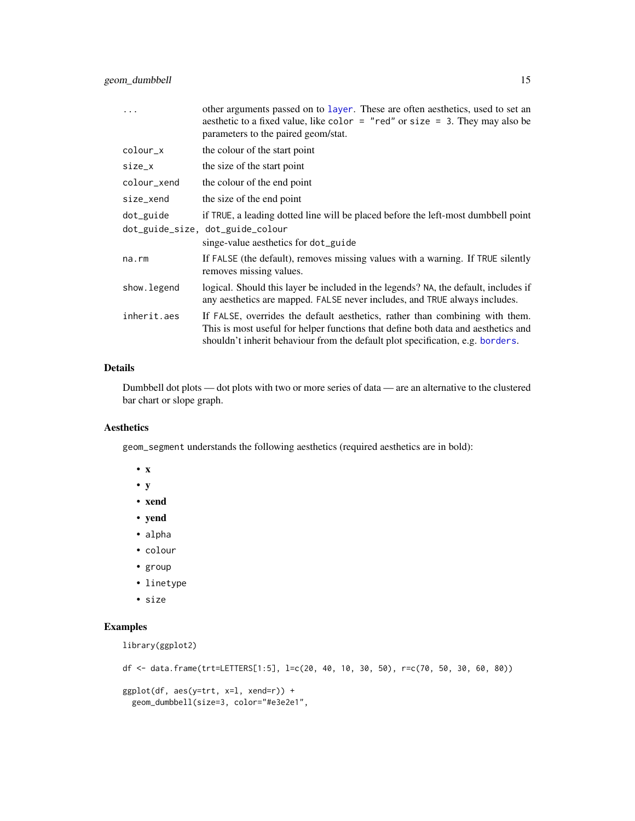<span id="page-14-0"></span>geom\_dumbbell 15

|             | other arguments passed on to layer. These are often aesthetics, used to set an<br>aesthetic to a fixed value, like color = "red" or size = 3. They may also be<br>parameters to the paired geom/stat.                                               |
|-------------|-----------------------------------------------------------------------------------------------------------------------------------------------------------------------------------------------------------------------------------------------------|
| colour_x    | the colour of the start point                                                                                                                                                                                                                       |
| size_x      | the size of the start point                                                                                                                                                                                                                         |
| colour_xend | the colour of the end point                                                                                                                                                                                                                         |
| size_xend   | the size of the end point                                                                                                                                                                                                                           |
| dot_guide   | if TRUE, a leading dotted line will be placed before the left-most dumbbell point                                                                                                                                                                   |
|             | dot_guide_size, dot_guide_colour                                                                                                                                                                                                                    |
|             | singe-value aesthetics for dot_guide                                                                                                                                                                                                                |
| na.rm       | If FALSE (the default), removes missing values with a warning. If TRUE silently<br>removes missing values.                                                                                                                                          |
| show.legend | logical. Should this layer be included in the legends? NA, the default, includes if<br>any aesthetics are mapped. FALSE never includes, and TRUE always includes.                                                                                   |
| inherit.aes | If FALSE, overrides the default aesthetics, rather than combining with them.<br>This is most useful for helper functions that define both data and aesthetics and<br>shouldn't inherit behaviour from the default plot specification, e.g. borders. |

# Details

Dumbbell dot plots — dot plots with two or more series of data — are an alternative to the clustered bar chart or slope graph.

# Aesthetics

geom\_segment understands the following aesthetics (required aesthetics are in bold):

- x
- y
- xend
- yend
- alpha
- colour
- group
- linetype
- size

# Examples

```
library(ggplot2)
```

```
df <- data.frame(trt=LETTERS[1:5], l=c(20, 40, 10, 30, 50), r=c(70, 50, 30, 60, 80))
ggplot(df, aes(y=trt, x=1, xend=r)) +geom_dumbbell(size=3, color="#e3e2e1",
```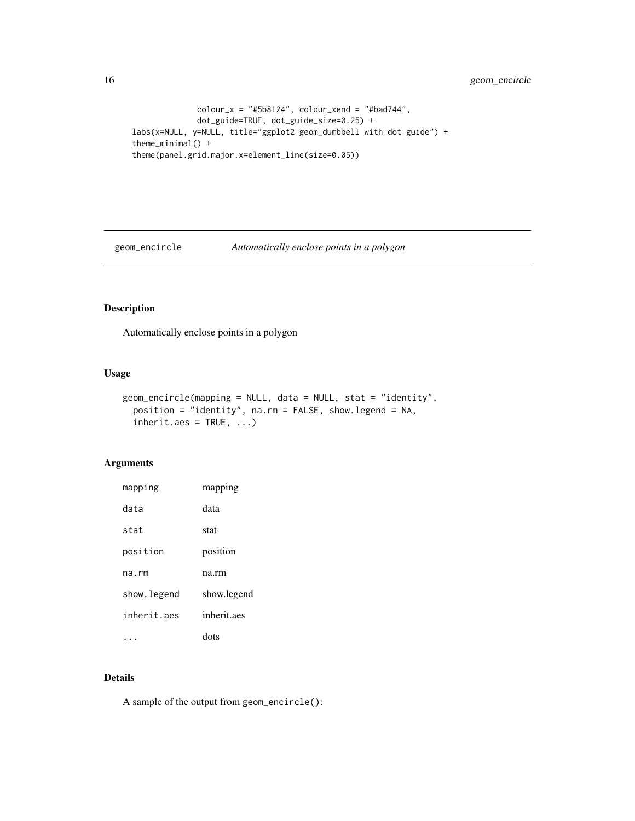```
color_x = "#5b8124", color_x = "#bad744",
             dot_guide=TRUE, dot_guide_size=0.25) +
labs(x=NULL, y=NULL, title="ggplot2 geom_dumbbell with dot guide") +
theme_minimal() +
theme(panel.grid.major.x=element_line(size=0.05))
```
geom\_encircle *Automatically enclose points in a polygon*

# Description

Automatically enclose points in a polygon

# Usage

```
geom_encircle(mapping = NULL, data = NULL, stat = "identity",
 position = "identity", na.rm = FALSE, show.legend = NA,
  inherit.aes = TRUE, ...)
```
# Arguments

| mapping     | mapping     |
|-------------|-------------|
| data        | data        |
| stat        | stat        |
| position    | position    |
| na.rm       | na.rm       |
| show.legend | show.legend |
| inherit aes | inherit.aes |
|             | dots        |

# Details

A sample of the output from geom\_encircle():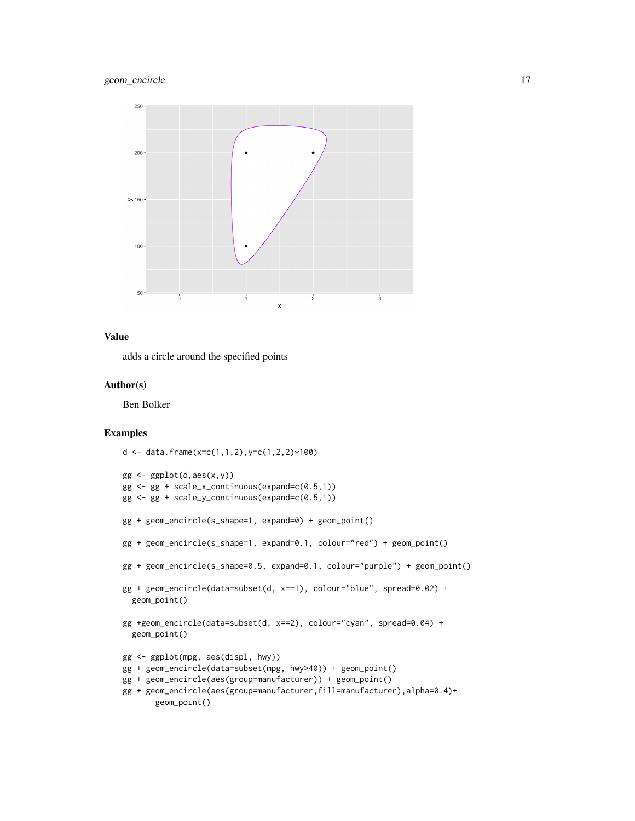

# Value

adds a circle around the specified points

#### Author(s)

Ben Bolker

# Examples

```
d <- data.frame(x=c(1,1,2),y=c(1,2,2)*100)
gg \leftarrow ggplot(d,aes(x,y))gg \leftarrow gg + scale_x_{continuous(expand=c(0.5,1))}gg \leq-gg + scale_y_{continuous(expand=c(0.5,1))}gg + geom_encircle(s_shape=1, expand=0) + geom_point()
gg + geom_encircle(s_shape=1, expand=0.1, colour="red") + geom_point()
gg + geom_encircle(s_shape=0.5, expand=0.1, colour="purple") + geom_point()
gg + geom_encircle(data=subset(d, x==1), colour="blue", spread=0.02) +
  geom_point()
gg +geom_encircle(data=subset(d, x==2), colour="cyan", spread=0.04) +
  geom_point()
gg <- ggplot(mpg, aes(displ, hwy))
gg + geom_encircle(data=subset(mpg, hwy>40)) + geom_point()
gg + geom_encircle(aes(group=manufacturer)) + geom_point()
gg + geom_encircle(aes(group=manufacturer,fill=manufacturer),alpha=0.4)+
       geom_point()
```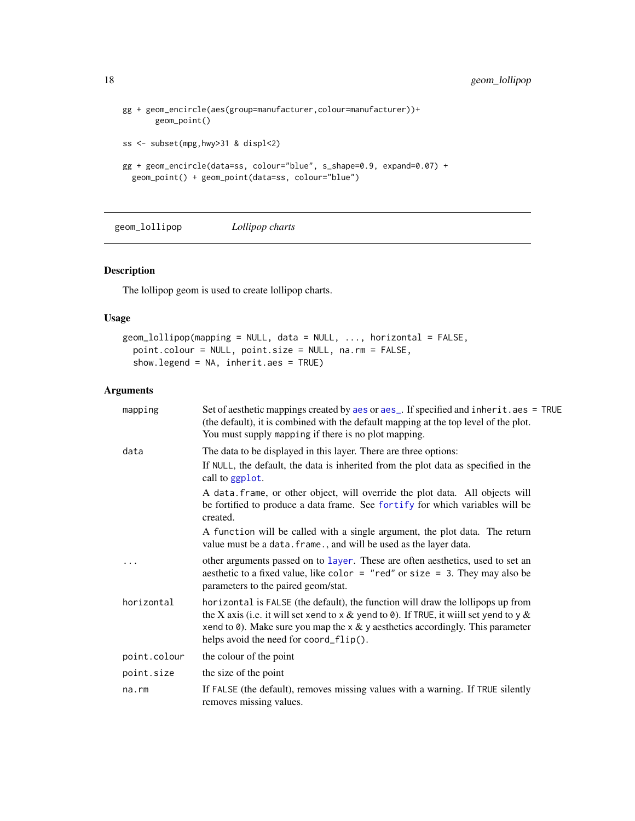```
gg + geom_encircle(aes(group=manufacturer,colour=manufacturer))+
       geom_point()
ss <- subset(mpg,hwy>31 & displ<2)
gg + geom_encircle(data=ss, colour="blue", s_shape=0.9, expand=0.07) +
  geom_point() + geom_point(data=ss, colour="blue")
```
geom\_lollipop *Lollipop charts*

# Description

The lollipop geom is used to create lollipop charts.

#### Usage

```
geom_lollipop(mapping = NULL, data = NULL, ..., horizontal = FALSE,
 point.colour = NULL, point.size = NULL, na.rm = FALSE,
  show.legend = NA, inherit.aes = TRUE)
```

| Set of aesthetic mappings created by aes or aes_. If specified and inherit.aes = TRUE<br>(the default), it is combined with the default mapping at the top level of the plot.<br>You must supply mapping if there is no plot mapping.                                                                        |
|--------------------------------------------------------------------------------------------------------------------------------------------------------------------------------------------------------------------------------------------------------------------------------------------------------------|
| The data to be displayed in this layer. There are three options:                                                                                                                                                                                                                                             |
| If NULL, the default, the data is inherited from the plot data as specified in the<br>call to ggplot.                                                                                                                                                                                                        |
| A data. frame, or other object, will override the plot data. All objects will<br>be fortified to produce a data frame. See fortify for which variables will be<br>created.                                                                                                                                   |
| A function will be called with a single argument, the plot data. The return<br>value must be a data. frame., and will be used as the layer data.                                                                                                                                                             |
| other arguments passed on to layer. These are often aesthetics, used to set an<br>aesthetic to a fixed value, like color = "red" or size = 3. They may also be<br>parameters to the paired geom/stat.                                                                                                        |
| horizontal is FALSE (the default), the function will draw the lollipops up from<br>the X axis (i.e. it will set xend to x & yend to 0). If TRUE, it will set yend to y &<br>xend to $\theta$ ). Make sure you map the x & y aesthetics accordingly. This parameter<br>helps avoid the need for coord_flip(). |
| the colour of the point                                                                                                                                                                                                                                                                                      |
| the size of the point                                                                                                                                                                                                                                                                                        |
| If FALSE (the default), removes missing values with a warning. If TRUE silently<br>removes missing values.                                                                                                                                                                                                   |
|                                                                                                                                                                                                                                                                                                              |

<span id="page-17-0"></span>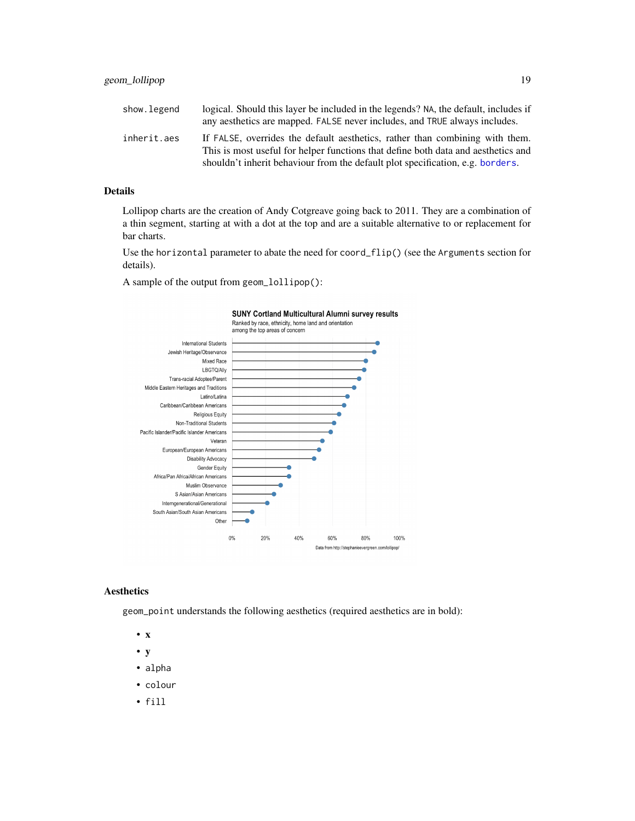<span id="page-18-0"></span>

| show.legend | logical. Should this layer be included in the legends? NA, the default, includes if<br>any aesthetics are mapped. FALSE never includes, and TRUE always includes. |
|-------------|-------------------------------------------------------------------------------------------------------------------------------------------------------------------|
| inherit.aes | If FALSE, overrides the default aesthetics, rather than combining with them.<br>This is most useful for helper functions that define both data and aesthetics and |
|             | shouldn't inherit behaviour from the default plot specification, e.g. borders.                                                                                    |

#### Details

Lollipop charts are the creation of Andy Cotgreave going back to 2011. They are a combination of a thin segment, starting at with a dot at the top and are a suitable alternative to or replacement for bar charts.

Use the horizontal parameter to abate the need for coord\_flip() (see the Arguments section for details).

A sample of the output from geom\_lollipop():



#### Aesthetics

geom\_point understands the following aesthetics (required aesthetics are in bold):

- x
- y
- alpha
- colour
- fill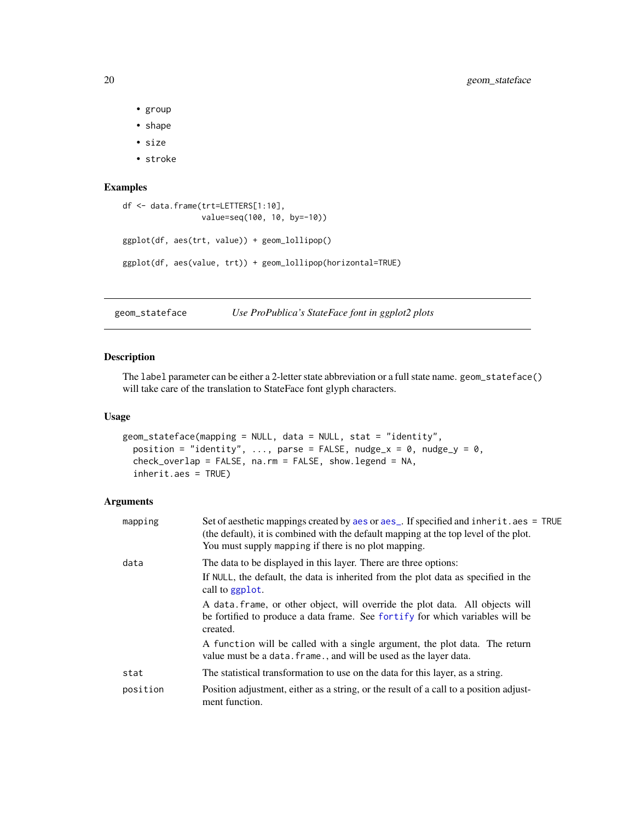- group
- shape
- size
- stroke

# Examples

```
df <- data.frame(trt=LETTERS[1:10],
                 value=seq(100, 10, by=-10))
ggplot(df, aes(trt, value)) + geom_lollipop()
ggplot(df, aes(value, trt)) + geom_lollipop(horizontal=TRUE)
```
<span id="page-19-1"></span>geom\_stateface *Use ProPublica's StateFace font in ggplot2 plots*

# Description

The label parameter can be either a 2-letter state abbreviation or a full state name. geom\_stateface() will take care of the translation to StateFace font glyph characters.

#### Usage

```
geom_stateface(mapping = NULL, data = NULL, stat = "identity",
 position = "identity", ..., parse = FALSE, nudge_x = 0, nudge_y = 0,
 check_overlap = FALSE, na.rm = FALSE, show.legend = NA,
  inherit.aes = TRUE)
```

| mapping  | Set of aesthetic mappings created by aes or aes_. If specified and inherit.aes = TRUE<br>(the default), it is combined with the default mapping at the top level of the plot.<br>You must supply mapping if there is no plot mapping. |
|----------|---------------------------------------------------------------------------------------------------------------------------------------------------------------------------------------------------------------------------------------|
| data     | The data to be displayed in this layer. There are three options:<br>If NULL, the default, the data is inherited from the plot data as specified in the<br>call to ggplot.                                                             |
|          | A data frame, or other object, will override the plot data. All objects will<br>be fortified to produce a data frame. See fortify for which variables will be<br>created.                                                             |
|          | A function will be called with a single argument, the plot data. The return<br>value must be a data. frame., and will be used as the layer data.                                                                                      |
| stat     | The statistical transformation to use on the data for this layer, as a string.                                                                                                                                                        |
| position | Position adjustment, either as a string, or the result of a call to a position adjust-<br>ment function.                                                                                                                              |

<span id="page-19-0"></span>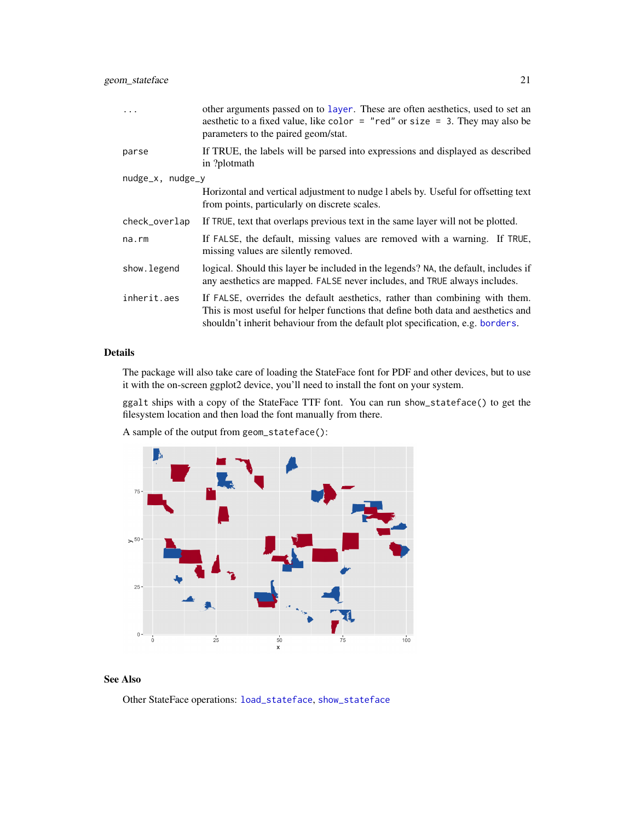<span id="page-20-0"></span>

| .                     | other arguments passed on to layer. These are often aesthetics, used to set an<br>aesthetic to a fixed value, like color = "red" or size = 3. They may also be<br>parameters to the paired geom/stat.                                               |  |
|-----------------------|-----------------------------------------------------------------------------------------------------------------------------------------------------------------------------------------------------------------------------------------------------|--|
| parse                 | If TRUE, the labels will be parsed into expressions and displayed as described<br>in ?plotmath                                                                                                                                                      |  |
| $nudge_x$ , $nudge_y$ |                                                                                                                                                                                                                                                     |  |
|                       | Horizontal and vertical adjustment to nudge 1 abels by. Useful for offsetting text<br>from points, particularly on discrete scales.                                                                                                                 |  |
| check_overlap         | If TRUE, text that overlaps previous text in the same layer will not be plotted.                                                                                                                                                                    |  |
| $na$ . $rm$           | If FALSE, the default, missing values are removed with a warning. If TRUE,<br>missing values are silently removed.                                                                                                                                  |  |
| show.legend           | logical. Should this layer be included in the legends? NA, the default, includes if<br>any aesthetics are mapped. FALSE never includes, and TRUE always includes.                                                                                   |  |
| inherit.aes           | If FALSE, overrides the default aesthetics, rather than combining with them.<br>This is most useful for helper functions that define both data and aesthetics and<br>shouldn't inherit behaviour from the default plot specification, e.g. borders. |  |

#### Details

The package will also take care of loading the StateFace font for PDF and other devices, but to use it with the on-screen ggplot2 device, you'll need to install the font on your system.

ggalt ships with a copy of the StateFace TTF font. You can run show\_stateface() to get the filesystem location and then load the font manually from there.

A sample of the output from geom\_stateface():



#### See Also

Other StateFace operations: [load\\_stateface](#page-26-1), [show\\_stateface](#page-27-1)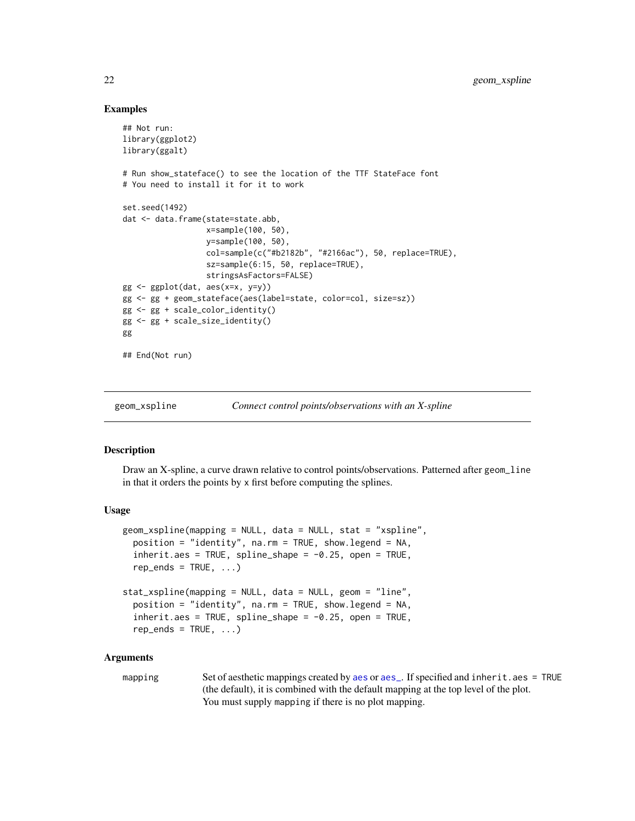#### Examples

```
## Not run:
library(ggplot2)
library(ggalt)
# Run show_stateface() to see the location of the TTF StateFace font
# You need to install it for it to work
set.seed(1492)
dat <- data.frame(state=state.abb,
                  x=sample(100, 50),
                  y=sample(100, 50),
                  col=sample(c("#b2182b", "#2166ac"), 50, replace=TRUE),
                  sz=sample(6:15, 50, replace=TRUE),
                  stringsAsFactors=FALSE)
gg \leftarrow ggplot(data, aes(x=x, y=y))gg <- gg + geom_stateface(aes(label=state, color=col, size=sz))
gg <- gg + scale_color_identity()
gg <- gg + scale_size_identity()
gg
## End(Not run)
```
<span id="page-21-1"></span>

```
geom_xspline Connect control points/observations with an X-spline
```
# Description

Draw an X-spline, a curve drawn relative to control points/observations. Patterned after geom\_line in that it orders the points by x first before computing the splines.

#### Usage

```
geom_xspline(mapping = NULL, data = NULL, stat = "xspline",
 position = "identity", na.rm = TRUE, show.legend = NA,
  inherit.aes = TRUE, spline_shape = -0.25, open = TRUE,
  rep\_ends = TRUE, ...stat_xspline(mapping = NULL, data = NULL, geom = "line",
 position = "identity", na.rm = TRUE, show.legend = NA,
 inherit.aes = TRUE, spline\_shape = -0.25, open = TRUE,rep\_ends = TRUE, ...
```

```
aesaes_. If specified and inherit.aes = TRUE
              (the default), it is combined with the default mapping at the top level of the plot.
              You must supply mapping if there is no plot mapping.
```
<span id="page-21-0"></span>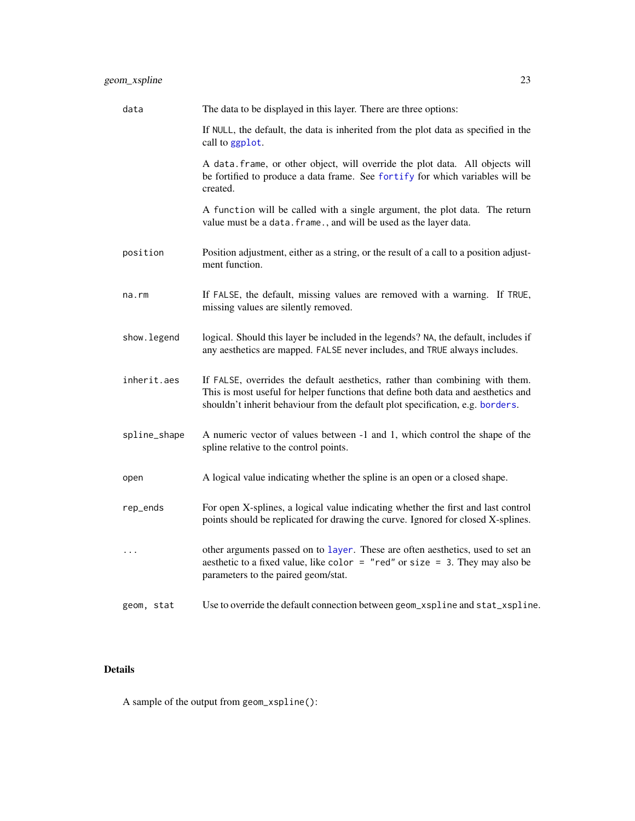<span id="page-22-0"></span>

| data         | The data to be displayed in this layer. There are three options:                                                                                                                                                                                    |
|--------------|-----------------------------------------------------------------------------------------------------------------------------------------------------------------------------------------------------------------------------------------------------|
|              | If NULL, the default, the data is inherited from the plot data as specified in the<br>call to ggplot.                                                                                                                                               |
|              | A data. frame, or other object, will override the plot data. All objects will<br>be fortified to produce a data frame. See fortify for which variables will be<br>created.                                                                          |
|              | A function will be called with a single argument, the plot data. The return<br>value must be a data. frame., and will be used as the layer data.                                                                                                    |
| position     | Position adjustment, either as a string, or the result of a call to a position adjust-<br>ment function.                                                                                                                                            |
| na.rm        | If FALSE, the default, missing values are removed with a warning. If TRUE,<br>missing values are silently removed.                                                                                                                                  |
| show.legend  | logical. Should this layer be included in the legends? NA, the default, includes if<br>any aesthetics are mapped. FALSE never includes, and TRUE always includes.                                                                                   |
| inherit.aes  | If FALSE, overrides the default aesthetics, rather than combining with them.<br>This is most useful for helper functions that define both data and aesthetics and<br>shouldn't inherit behaviour from the default plot specification, e.g. borders. |
| spline_shape | A numeric vector of values between -1 and 1, which control the shape of the<br>spline relative to the control points.                                                                                                                               |
| open         | A logical value indicating whether the spline is an open or a closed shape.                                                                                                                                                                         |
| rep_ends     | For open X-splines, a logical value indicating whether the first and last control<br>points should be replicated for drawing the curve. Ignored for closed X-splines.                                                                               |
| .            | other arguments passed on to layer. These are often aesthetics, used to set an<br>aesthetic to a fixed value, like color = "red" or size = 3. They may also be<br>parameters to the paired geom/stat.                                               |
| geom, stat   | Use to override the default connection between geom_xspline and stat_xspline.                                                                                                                                                                       |

# Details

A sample of the output from geom\_xspline():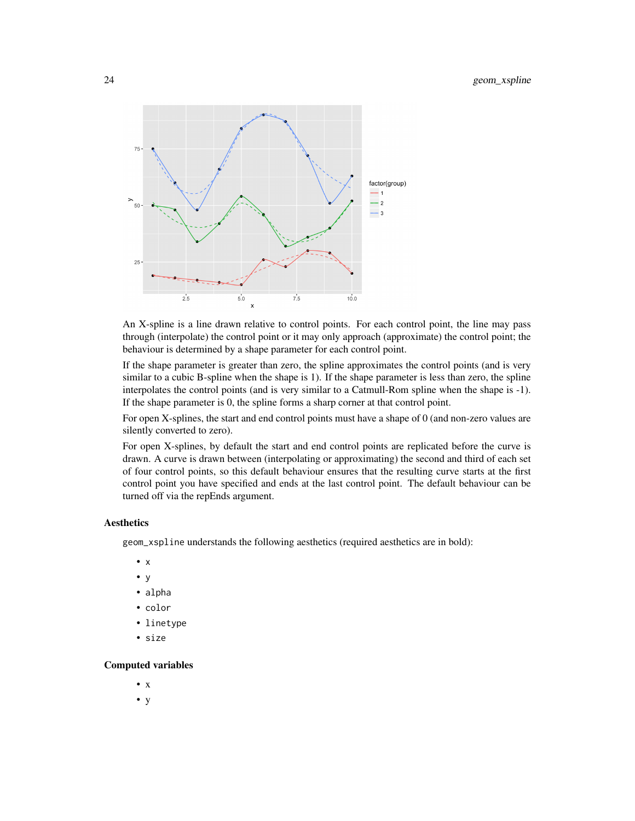

An X-spline is a line drawn relative to control points. For each control point, the line may pass through (interpolate) the control point or it may only approach (approximate) the control point; the behaviour is determined by a shape parameter for each control point.

If the shape parameter is greater than zero, the spline approximates the control points (and is very similar to a cubic B-spline when the shape is 1). If the shape parameter is less than zero, the spline interpolates the control points (and is very similar to a Catmull-Rom spline when the shape is -1). If the shape parameter is 0, the spline forms a sharp corner at that control point.

For open X-splines, the start and end control points must have a shape of 0 (and non-zero values are silently converted to zero).

For open X-splines, by default the start and end control points are replicated before the curve is drawn. A curve is drawn between (interpolating or approximating) the second and third of each set of four control points, so this default behaviour ensures that the resulting curve starts at the first control point you have specified and ends at the last control point. The default behaviour can be turned off via the repEnds argument.

#### Aesthetics

geom\_xspline understands the following aesthetics (required aesthetics are in bold):

- x
- y
- alpha
- color
- linetype
- size

#### Computed variables

- x
- y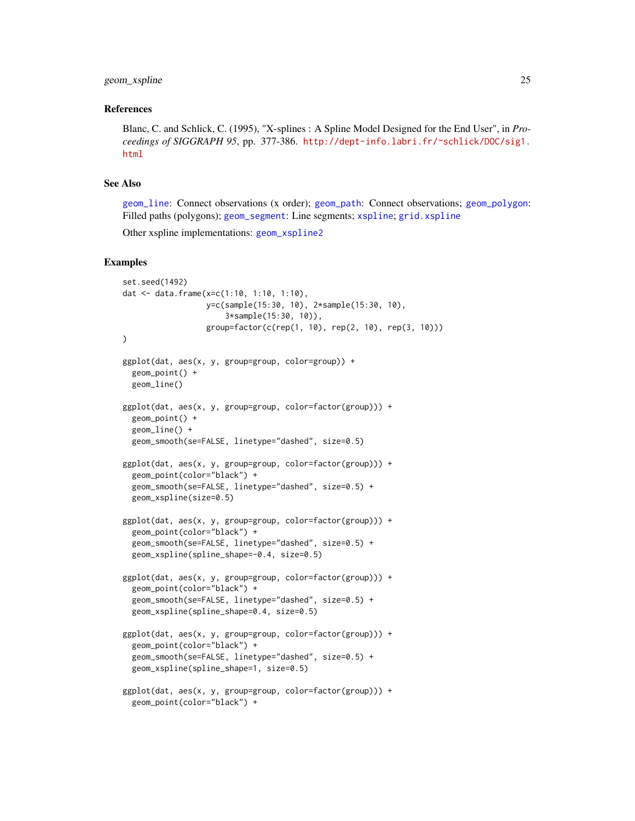#### <span id="page-24-0"></span>geom\_xspline 25

#### References

Blanc, C. and Schlick, C. (1995), "X-splines : A Spline Model Designed for the End User", in *Proceedings of SIGGRAPH 95*, pp. 377-386. [http://dept-info.labri.fr/~schlick/DOC/sig1.](http://dept-info.labri.fr/~schlick/DOC/sig1.html) [html](http://dept-info.labri.fr/~schlick/DOC/sig1.html)

# See Also

[geom\\_line](#page-0-0): Connect observations (x order); [geom\\_path](#page-0-0): Connect observations; [geom\\_polygon](#page-0-0): Filled paths (polygons); [geom\\_segment](#page-0-0): Line segments; [xspline](#page-0-0); [grid.xspline](#page-0-0)

Other xspline implementations: [geom\\_xspline2](#page-25-1)

#### Examples

```
set.seed(1492)
dat <- data.frame(x=c(1:10, 1:10, 1:10),
                  y=c(sample(15:30, 10), 2*sample(15:30, 10),
                      3*sample(15:30, 10)),
                  group=factor(c(rep(1, 10), rep(2, 10), rep(3, 10)))
)
ggplot(dat, aes(x, y, group=group, color=group)) +
  geom_point() +
  geom_line()
ggplot(dat, aes(x, y, group=group, color=factor(group))) +
  geom_point() +
  geom_line() +
  geom_smooth(se=FALSE, linetype="dashed", size=0.5)
ggplot(dat, aes(x, y, group=group, color=factor(group))) +
  geom_point(color="black") +
  geom_smooth(se=FALSE, linetype="dashed", size=0.5) +
  geom_xspline(size=0.5)
ggplot(dat, aes(x, y, group=group, color=factor(group))) +
  geom_point(color="black") +
  geom_smooth(se=FALSE, linetype="dashed", size=0.5) +
  geom_xspline(spline_shape=-0.4, size=0.5)
ggplot(dat, aes(x, y, group=group, color=factor(group))) +
  geom_point(color="black") +
  geom_smooth(se=FALSE, linetype="dashed", size=0.5) +
  geom_xspline(spline_shape=0.4, size=0.5)
ggplot(dat, aes(x, y, group=group, color=factor(group))) +
  geom_point(color="black") +
  geom_smooth(se=FALSE, linetype="dashed", size=0.5) +
  geom_xspline(spline_shape=1, size=0.5)
ggplot(dat, aes(x, y, group=group, color=factor(group))) +
  geom_point(color="black") +
```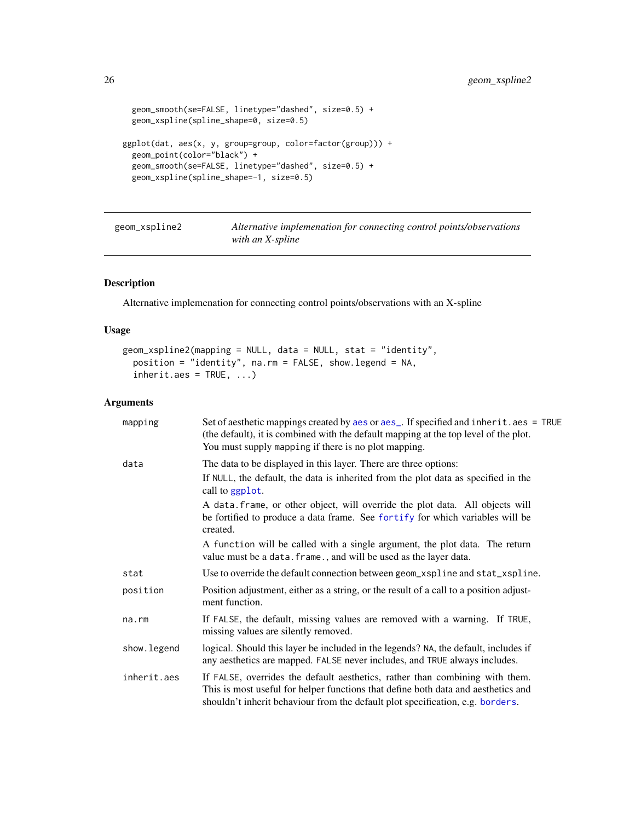```
geom_smooth(se=FALSE, linetype="dashed", size=0.5) +
  geom_xspline(spline_shape=0, size=0.5)
ggplot(dat, aes(x, y, group=group, color=factor(group))) +
  geom_point(color="black") +
  geom_smooth(se=FALSE, linetype="dashed", size=0.5) +
  geom_xspline(spline_shape=-1, size=0.5)
```
<span id="page-25-1"></span>

| geom_xspline2 | Alternative implemenation for connecting control points/observations |
|---------------|----------------------------------------------------------------------|
|               | with an X-spline                                                     |

# Description

Alternative implemenation for connecting control points/observations with an X-spline

# Usage

```
geom_xspline2(mapping = NULL, data = NULL, stat = "identity",
 position = "identity", na.rm = FALSE, show.legend = NA,
  inherit.aes = TRUE, ...
```

| mapping     | Set of aesthetic mappings created by aes or aes_. If specified and inherit.aes = TRUE<br>(the default), it is combined with the default mapping at the top level of the plot.<br>You must supply mapping if there is no plot mapping.               |
|-------------|-----------------------------------------------------------------------------------------------------------------------------------------------------------------------------------------------------------------------------------------------------|
| data        | The data to be displayed in this layer. There are three options:                                                                                                                                                                                    |
|             | If NULL, the default, the data is inherited from the plot data as specified in the<br>call to ggplot.                                                                                                                                               |
|             | A data frame, or other object, will override the plot data. All objects will<br>be fortified to produce a data frame. See fortify for which variables will be<br>created.                                                                           |
|             | A function will be called with a single argument, the plot data. The return<br>value must be a data. frame., and will be used as the layer data.                                                                                                    |
| stat        | Use to override the default connection between geom_xspline and stat_xspline.                                                                                                                                                                       |
| position    | Position adjustment, either as a string, or the result of a call to a position adjust-<br>ment function.                                                                                                                                            |
| na.rm       | If FALSE, the default, missing values are removed with a warning. If TRUE,<br>missing values are silently removed.                                                                                                                                  |
| show.legend | logical. Should this layer be included in the legends? NA, the default, includes if<br>any aesthetics are mapped. FALSE never includes, and TRUE always includes.                                                                                   |
| inherit.aes | If FALSE, overrides the default aesthetics, rather than combining with them.<br>This is most useful for helper functions that define both data and aesthetics and<br>shouldn't inherit behaviour from the default plot specification, e.g. borders. |

<span id="page-25-0"></span>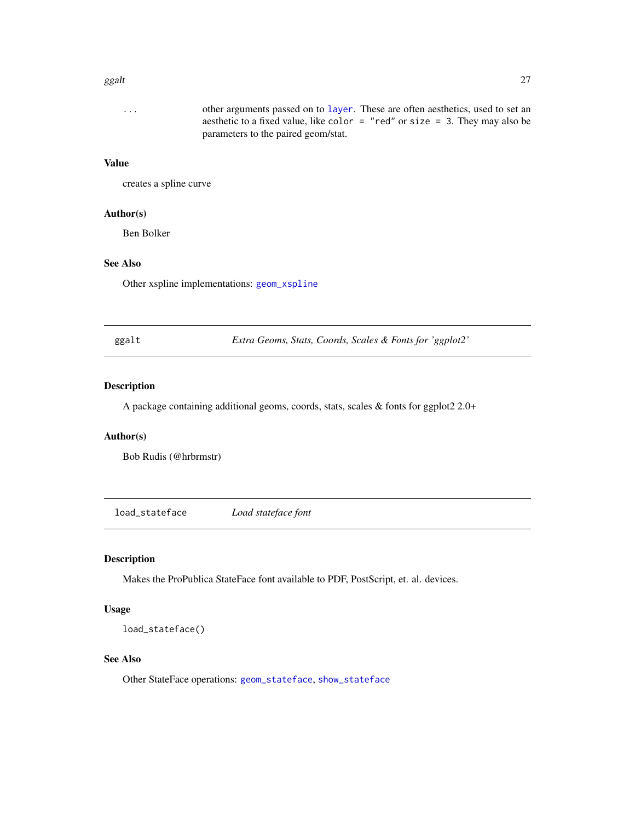#### <span id="page-26-0"></span>ggalt  $27$

#### Value

creates a spline curve

#### Author(s)

Ben Bolker

# See Also

Other xspline implementations: [geom\\_xspline](#page-21-1)

ggalt *Extra Geoms, Stats, Coords, Scales & Fonts for 'ggplot2'*

#### Description

A package containing additional geoms, coords, stats, scales & fonts for ggplot2 2.0+

# Author(s)

Bob Rudis (@hrbrmstr)

<span id="page-26-1"></span>load\_stateface *Load stateface font*

# Description

Makes the ProPublica StateFace font available to PDF, PostScript, et. al. devices.

# Usage

load\_stateface()

#### See Also

Other StateFace operations: [geom\\_stateface](#page-19-1), [show\\_stateface](#page-27-1)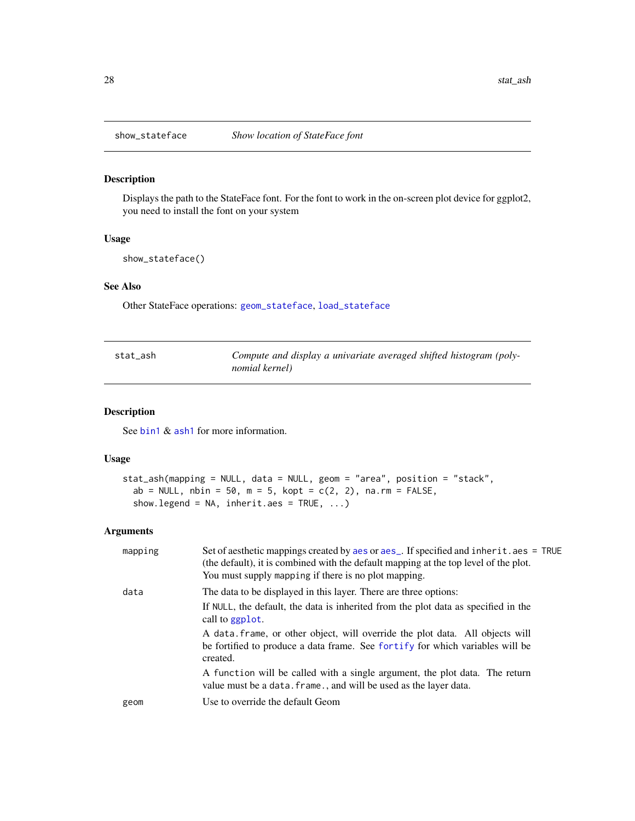<span id="page-27-1"></span><span id="page-27-0"></span>

# Description

Displays the path to the StateFace font. For the font to work in the on-screen plot device for ggplot2, you need to install the font on your system

### Usage

show\_stateface()

# See Also

Other StateFace operations: [geom\\_stateface](#page-19-1), [load\\_stateface](#page-26-1)

| stat_ash | Compute and display a univariate averaged shifted histogram (poly- |
|----------|--------------------------------------------------------------------|
|          | nomial kernel)                                                     |

# Description

See [bin1](#page-0-0) & [ash1](#page-0-0) for more information.

#### Usage

```
stat_ash(mapping = NULL, data = NULL, geom = "area", position = "stack",
 ab = NULL, nbin = 50, m = 5, kopt = c(2, 2), na.rm = FALSE,
 show.legend = NA, inherit.aes = TRUE, ...)
```

| mapping | Set of aesthetic mappings created by aes or aes_. If specified and inherit.aes = TRUE<br>(the default), it is combined with the default mapping at the top level of the plot.<br>You must supply mapping if there is no plot mapping. |
|---------|---------------------------------------------------------------------------------------------------------------------------------------------------------------------------------------------------------------------------------------|
| data    | The data to be displayed in this layer. There are three options:                                                                                                                                                                      |
|         | If NULL, the default, the data is inherited from the plot data as specified in the<br>call to ggplot.                                                                                                                                 |
|         | A data frame, or other object, will override the plot data. All objects will<br>be fortified to produce a data frame. See fortify for which variables will be<br>created.                                                             |
|         | A function will be called with a single argument, the plot data. The return<br>value must be a data. frame., and will be used as the layer data.                                                                                      |
| geom    | Use to override the default Geom                                                                                                                                                                                                      |
|         |                                                                                                                                                                                                                                       |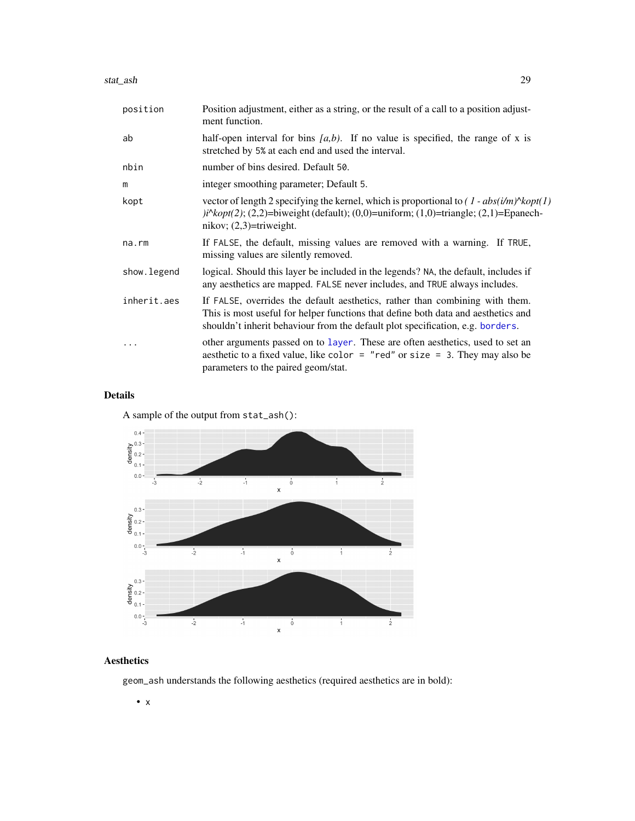<span id="page-28-0"></span>stat\_ash 29

| position     | Position adjustment, either as a string, or the result of a call to a position adjust-<br>ment function.                                                                                                                                            |
|--------------|-----------------------------------------------------------------------------------------------------------------------------------------------------------------------------------------------------------------------------------------------------|
| ab           | half-open interval for bins $[a,b)$ . If no value is specified, the range of x is<br>stretched by 5% at each end and used the interval.                                                                                                             |
| nbin         | number of bins desired. Default 50.                                                                                                                                                                                                                 |
| m            | integer smoothing parameter; Default 5.                                                                                                                                                                                                             |
| kopt         | vector of length 2 specifying the kernel, which is proportional to $(1 - abs(i/m)$ <sup>N</sup> kopt $(1)$<br>$\pi$ i $\kappa$ opt(2); (2,2)=biweight (default); (0,0)=uniform; (1,0)=triangle; (2,1)=Epanech-<br>nikov; $(2,3)$ =triweight.        |
| na.rm        | If FALSE, the default, missing values are removed with a warning. If TRUE,<br>missing values are silently removed.                                                                                                                                  |
| show. legend | logical. Should this layer be included in the legends? NA, the default, includes if<br>any aesthetics are mapped. FALSE never includes, and TRUE always includes.                                                                                   |
| inherit.aes  | If FALSE, overrides the default aesthetics, rather than combining with them.<br>This is most useful for helper functions that define both data and aesthetics and<br>shouldn't inherit behaviour from the default plot specification, e.g. borders. |
|              | other arguments passed on to layer. These are often aesthetics, used to set an<br>aesthetic to a fixed value, like color = "red" or size = 3. They may also be<br>parameters to the paired geom/stat.                                               |

# Details

A sample of the output from stat\_ash():



# Aesthetics

geom\_ash understands the following aesthetics (required aesthetics are in bold):

• x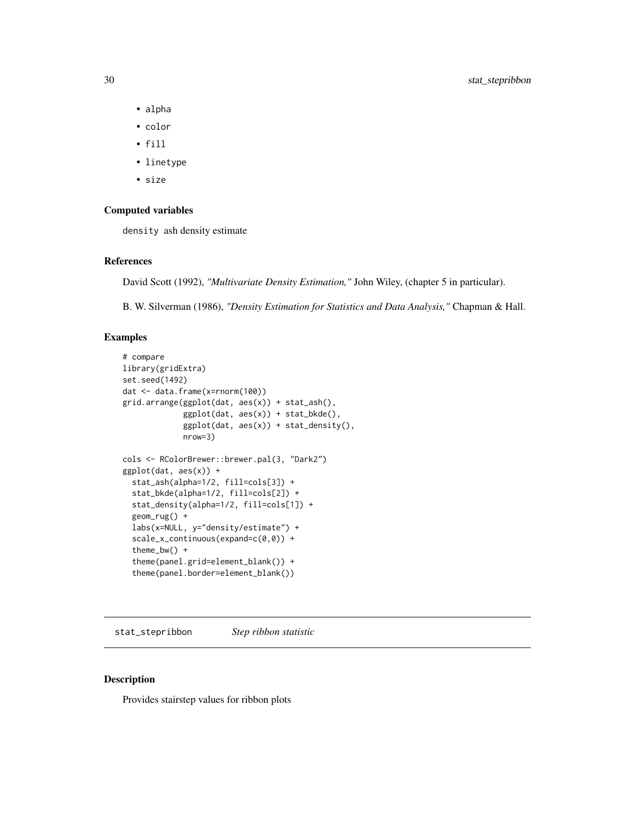- alpha
- color
- fill
- linetype
- size

# Computed variables

density ash density estimate

#### References

David Scott (1992), *"Multivariate Density Estimation,"* John Wiley, (chapter 5 in particular).

B. W. Silverman (1986), *"Density Estimation for Statistics and Data Analysis,"* Chapman & Hall.

# Examples

```
# compare
library(gridExtra)
set.seed(1492)
dat <- data.frame(x=rnorm(100))
grid.arrange(ggplot(dat, aes(x)) + stat_ash(),
             ggplot(dat, aes(x)) + stat_bkde(),
             ggplot(dat, aes(x)) + stat_density(),
             nrow=3)
cols <- RColorBrewer::brewer.pal(3, "Dark2")
ggplot(dat, aes(x)) +
  stat_ash(alpha=1/2, fill=cols[3]) +
  stat_bkde(alpha=1/2, fill=cols[2]) +
  stat_density(alpha=1/2, fill=cols[1]) +
  geom_rug() +
  labs(x=NULL, y="density/estimate") +
  scale_x_continuous(expand=c(0,0)) +
  theme_bw() +
  theme(panel.grid=element_blank()) +
  theme(panel.border=element_blank())
```
stat\_stepribbon *Step ribbon statistic*

# Description

Provides stairstep values for ribbon plots

<span id="page-29-0"></span>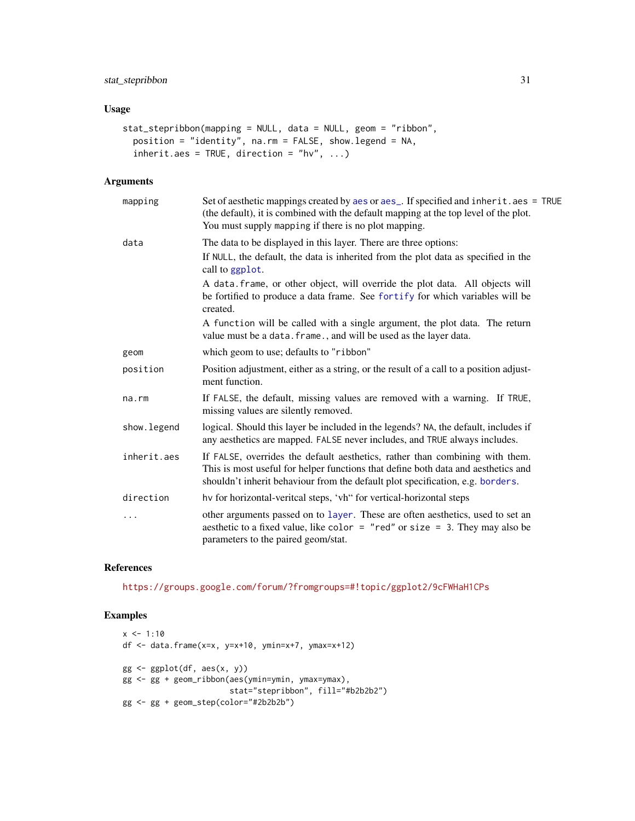# <span id="page-30-0"></span>stat\_stepribbon 31

# Usage

```
stat_stepribbon(mapping = NULL, data = NULL, geom = "ribbon",
 position = "identity", na.rm = FALSE, show.legend = NA,
  inherit.aes = TRUE, direction = "hv", \dots)
```
# Arguments

| mapping      | Set of aesthetic mappings created by aes or aes_. If specified and inherit.aes = TRUE<br>(the default), it is combined with the default mapping at the top level of the plot.<br>You must supply mapping if there is no plot mapping.               |
|--------------|-----------------------------------------------------------------------------------------------------------------------------------------------------------------------------------------------------------------------------------------------------|
| data         | The data to be displayed in this layer. There are three options:                                                                                                                                                                                    |
|              | If NULL, the default, the data is inherited from the plot data as specified in the<br>call to ggplot.                                                                                                                                               |
|              | A data. frame, or other object, will override the plot data. All objects will<br>be fortified to produce a data frame. See fortify for which variables will be<br>created.                                                                          |
|              | A function will be called with a single argument, the plot data. The return<br>value must be a data. frame., and will be used as the layer data.                                                                                                    |
| geom         | which geom to use; defaults to "ribbon"                                                                                                                                                                                                             |
| position     | Position adjustment, either as a string, or the result of a call to a position adjust-<br>ment function.                                                                                                                                            |
| na.rm        | If FALSE, the default, missing values are removed with a warning. If TRUE,<br>missing values are silently removed.                                                                                                                                  |
| show. legend | logical. Should this layer be included in the legends? NA, the default, includes if<br>any aesthetics are mapped. FALSE never includes, and TRUE always includes.                                                                                   |
| inherit.aes  | If FALSE, overrides the default aesthetics, rather than combining with them.<br>This is most useful for helper functions that define both data and aesthetics and<br>shouldn't inherit behaviour from the default plot specification, e.g. borders. |
| direction    | hv for horizontal-veritcal steps, 'vh" for vertical-horizontal steps                                                                                                                                                                                |
| $\cdots$     | other arguments passed on to layer. These are often aesthetics, used to set an<br>aesthetic to a fixed value, like color = "red" or size = 3. They may also be<br>parameters to the paired geom/stat.                                               |

# References

<https://groups.google.com/forum/?fromgroups=#!topic/ggplot2/9cFWHaH1CPs>

# Examples

```
x \le -1:10df <- data.frame(x=x, y=x+10, ymin=x+7, ymax=x+12)
gg <- ggplot(df, aes(x, y))
gg <- gg + geom_ribbon(aes(ymin=ymin, ymax=ymax),
                       stat="stepribbon", fill="#b2b2b2")
gg <- gg + geom_step(color="#2b2b2b")
```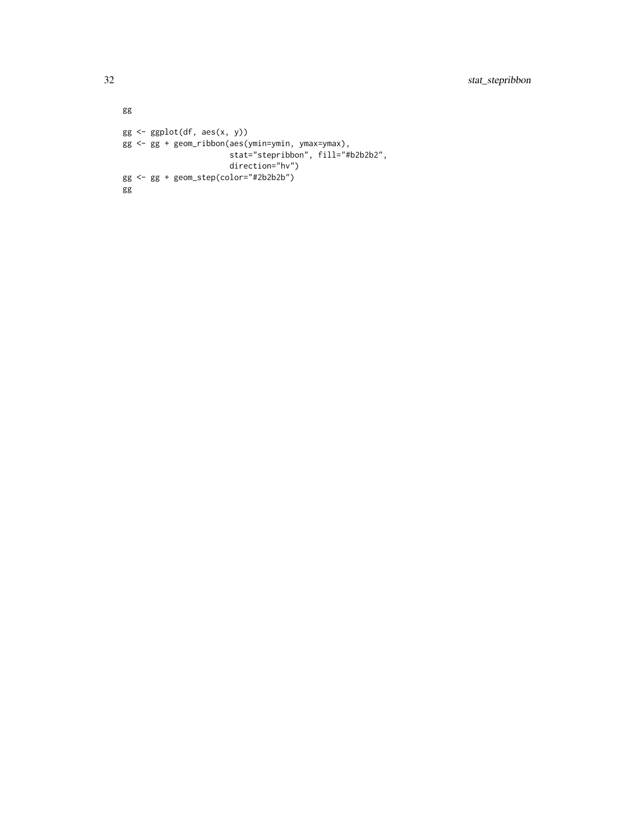```
gg
gg <- ggplot(df, aes(x, y))
gg <- gg + geom_ribbon(aes(ymin=ymin, ymax=ymax),
                      stat="stepribbon", fill="#b2b2b2",
                      direction="hv")
gg <- gg + geom_step(color="#2b2b2b")
gg
```